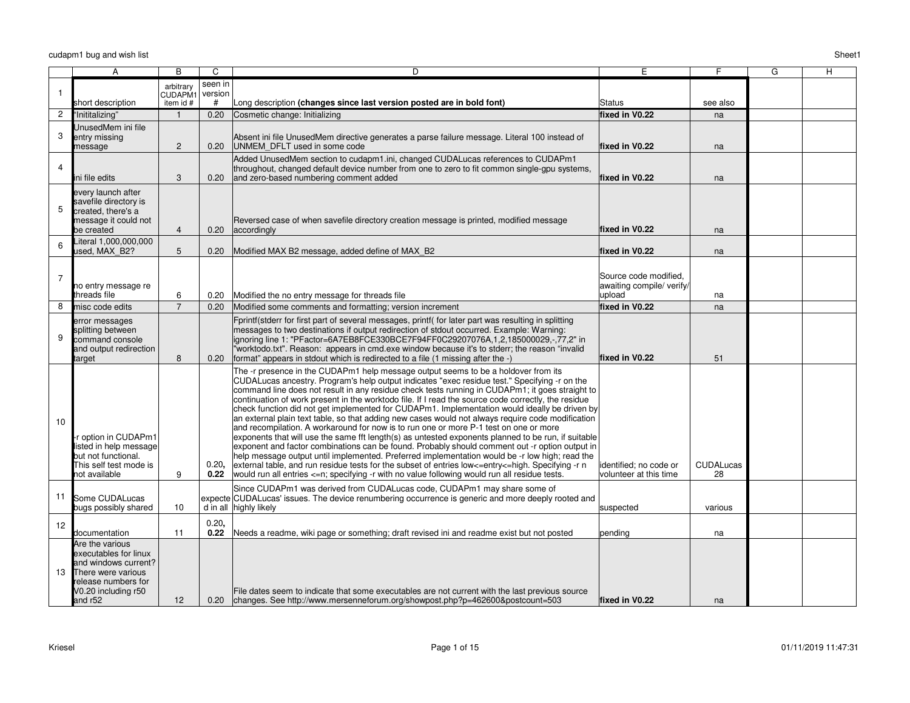|                   | Α                                                                                                                                               | B                                | C                  | D                                                                                                                                                                                                                                                                                                                                                                                                                                                                                                                                                                                                                                                                                                                                                                                                                                                                                                                                                                                                                                                                                                                                                                                                              | E                                                            | F                      | G | Η |
|-------------------|-------------------------------------------------------------------------------------------------------------------------------------------------|----------------------------------|--------------------|----------------------------------------------------------------------------------------------------------------------------------------------------------------------------------------------------------------------------------------------------------------------------------------------------------------------------------------------------------------------------------------------------------------------------------------------------------------------------------------------------------------------------------------------------------------------------------------------------------------------------------------------------------------------------------------------------------------------------------------------------------------------------------------------------------------------------------------------------------------------------------------------------------------------------------------------------------------------------------------------------------------------------------------------------------------------------------------------------------------------------------------------------------------------------------------------------------------|--------------------------------------------------------------|------------------------|---|---|
|                   |                                                                                                                                                 | arbitrary<br>CUDAPM1             | seen in<br>version |                                                                                                                                                                                                                                                                                                                                                                                                                                                                                                                                                                                                                                                                                                                                                                                                                                                                                                                                                                                                                                                                                                                                                                                                                |                                                              |                        |   |   |
|                   | short description                                                                                                                               | item id #                        | #                  | Long description (changes since last version posted are in bold font)                                                                                                                                                                                                                                                                                                                                                                                                                                                                                                                                                                                                                                                                                                                                                                                                                                                                                                                                                                                                                                                                                                                                          | Status                                                       | see also               |   |   |
| 2<br>3            | "Inititalizing"<br>UnusedMem ini file<br>entry missing<br>message                                                                               | $\overline{1}$<br>$\overline{2}$ | 0.20<br>0.20       | Cosmetic change: Initializing<br>Absent ini file UnusedMem directive generates a parse failure message. Literal 100 instead of<br>UNMEM DFLT used in some code                                                                                                                                                                                                                                                                                                                                                                                                                                                                                                                                                                                                                                                                                                                                                                                                                                                                                                                                                                                                                                                 | fixed in V0.22<br>fixed in V0.22                             | na<br>na               |   |   |
| $\overline{4}$    | ni file edits                                                                                                                                   | 3                                | 0.20               | Added UnusedMem section to cudapm1.ini, changed CUDALucas references to CUDAPm1<br>throughout, changed default device number from one to zero to fit common single-gpu systems,<br>and zero-based numbering comment added                                                                                                                                                                                                                                                                                                                                                                                                                                                                                                                                                                                                                                                                                                                                                                                                                                                                                                                                                                                      | fixed in V0.22                                               | na                     |   |   |
| 5                 | every launch after<br>savefile directory is<br>created, there's a<br>message it could not<br>be created                                         | $\overline{4}$                   | 0.20               | Reversed case of when savefile directory creation message is printed, modified message<br>accordingly                                                                                                                                                                                                                                                                                                                                                                                                                                                                                                                                                                                                                                                                                                                                                                                                                                                                                                                                                                                                                                                                                                          | fixed in V0.22                                               | na                     |   |   |
| 6                 | iteral 1,000,000,000<br><b>Jsed. MAX B2?</b>                                                                                                    | 5                                | 0.20               | Modified MAX B2 message, added define of MAX B2                                                                                                                                                                                                                                                                                                                                                                                                                                                                                                                                                                                                                                                                                                                                                                                                                                                                                                                                                                                                                                                                                                                                                                | fixed in V0.22                                               | na                     |   |   |
| 7                 | no entry message re<br>threads file                                                                                                             | 6                                | 0.20               | Modified the no entry message for threads file                                                                                                                                                                                                                                                                                                                                                                                                                                                                                                                                                                                                                                                                                                                                                                                                                                                                                                                                                                                                                                                                                                                                                                 | Source code modified.<br>awaiting compile/ verify/<br>upload | na                     |   |   |
| 8                 | misc code edits                                                                                                                                 | $\overline{7}$                   | 0.20               | Modified some comments and formatting; version increment                                                                                                                                                                                                                                                                                                                                                                                                                                                                                                                                                                                                                                                                                                                                                                                                                                                                                                                                                                                                                                                                                                                                                       | fixed in V0.22                                               | na                     |   |   |
| 9                 | error messages<br>splitting between<br>command console<br>and output redirection<br>target                                                      | 8                                | 0.20               | Fprintf(stderr for first part of several messages, printf( for later part was resulting in splitting<br>messages to two destinations if output redirection of stdout occurred. Example: Warning:<br>ignoring line 1: "PFactor=6A7EB8FCE330BCE7F94FF0C29207076A,1,2,185000029,-,77,2" in<br>"worktodo.txt". Reason: appears in cmd.exe window because it's to stderr; the reason "invalid"<br>format" appears in stdout which is redirected to a file (1 missing after the -)                                                                                                                                                                                                                                                                                                                                                                                                                                                                                                                                                                                                                                                                                                                                   | fixed in V0.22                                               | 51                     |   |   |
| 10                | r option in CUDAPm1<br>listed in help message<br>but not functional.<br>This self test mode is<br>not available                                 | 9                                | 0.20,<br>0.22      | The -r presence in the CUDAPm1 help message output seems to be a holdover from its<br>CUDALucas ancestry. Program's help output indicates "exec residue test." Specifying -r on the<br>command line does not result in any residue check tests running in CUDAPm1; it goes straight to<br>continuation of work present in the worktodo file. If I read the source code correctly, the residue<br>check function did not get implemented for CUDAPm1. Implementation would ideally be driven by<br>an external plain text table, so that adding new cases would not always require code modification<br>and recompilation. A workaround for now is to run one or more P-1 test on one or more<br>exponents that will use the same fft length(s) as untested exponents planned to be run, if suitable<br>exponent and factor combinations can be found. Probably should comment out -r option output in<br>help message output until implemented. Preferred implementation would be -r low high; read the<br>external table, and run residue tests for the subset of entries low<=entry<=high. Specifying -r n<br>would run all entries <= n; specifying -r with no value following would run all residue tests. | lidentified; no code or<br>lvolunteer at this time           | <b>CUDALucas</b><br>28 |   |   |
| 11                | Some CUDALucas<br>bugs possibly shared                                                                                                          | 10                               |                    | Since CUDAPm1 was derived from CUDALucas code, CUDAPm1 may share some of<br>expecte CUDALucas' issues. The device renumbering occurrence is generic and more deeply rooted and<br>d in all highly likely                                                                                                                                                                                                                                                                                                                                                                                                                                                                                                                                                                                                                                                                                                                                                                                                                                                                                                                                                                                                       | suspected                                                    | various                |   |   |
| $12 \overline{ }$ | documentation                                                                                                                                   | 11                               | 0.20,<br>0.22      | Needs a readme, wiki page or something; draft revised ini and readme exist but not posted                                                                                                                                                                                                                                                                                                                                                                                                                                                                                                                                                                                                                                                                                                                                                                                                                                                                                                                                                                                                                                                                                                                      | pending                                                      | na                     |   |   |
| 13                | Are the various<br>executables for linux<br>and windows current?<br>There were various<br>release numbers for<br>V0.20 including r50<br>and r52 | 12                               |                    | File dates seem to indicate that some executables are not current with the last previous source<br>0.20 changes. See http://www.mersenneforum.org/showpost.php?p=462600&postcount=503                                                                                                                                                                                                                                                                                                                                                                                                                                                                                                                                                                                                                                                                                                                                                                                                                                                                                                                                                                                                                          | fixed in V0.22                                               | na                     |   |   |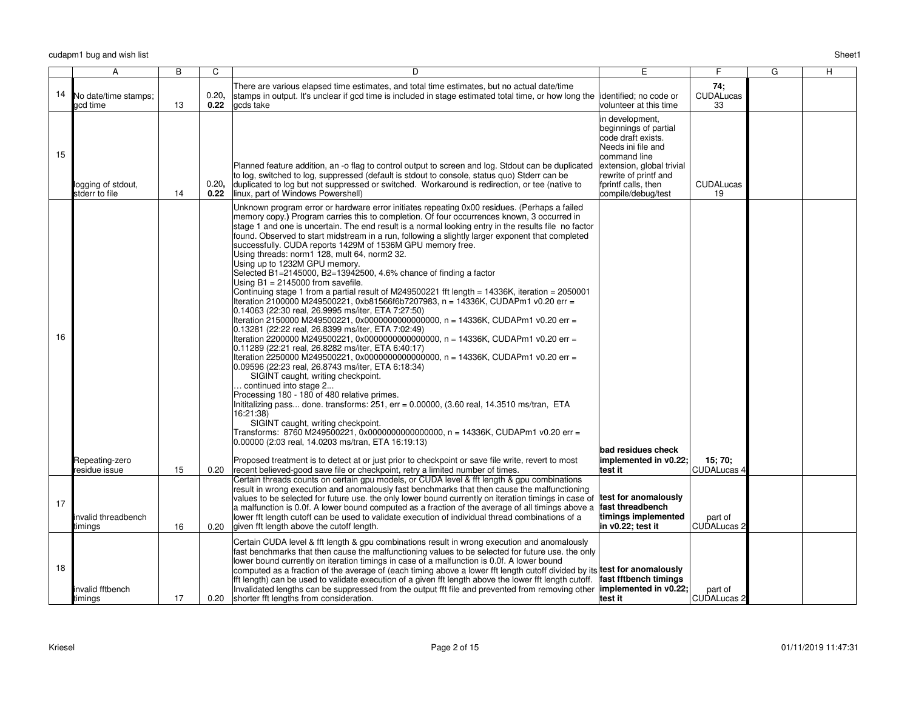|    | A                                    | B  | C             | D                                                                                                                                                                                                                                                                                                                                                                                                                                                                                                                                                                                                                                                                                                                                                                                                                                                                                                                                                                                                                                                                                                                                                                                                                                                                                                                                                                                                                                                                                                                                                                                                                                                                                                                                                            | E                                                                                                                                                                                                       | F.                            | G | H |
|----|--------------------------------------|----|---------------|--------------------------------------------------------------------------------------------------------------------------------------------------------------------------------------------------------------------------------------------------------------------------------------------------------------------------------------------------------------------------------------------------------------------------------------------------------------------------------------------------------------------------------------------------------------------------------------------------------------------------------------------------------------------------------------------------------------------------------------------------------------------------------------------------------------------------------------------------------------------------------------------------------------------------------------------------------------------------------------------------------------------------------------------------------------------------------------------------------------------------------------------------------------------------------------------------------------------------------------------------------------------------------------------------------------------------------------------------------------------------------------------------------------------------------------------------------------------------------------------------------------------------------------------------------------------------------------------------------------------------------------------------------------------------------------------------------------------------------------------------------------|---------------------------------------------------------------------------------------------------------------------------------------------------------------------------------------------------------|-------------------------------|---|---|
| 14 |                                      |    | 0.20,         | There are various elapsed time estimates, and total time estimates, but no actual date/time                                                                                                                                                                                                                                                                                                                                                                                                                                                                                                                                                                                                                                                                                                                                                                                                                                                                                                                                                                                                                                                                                                                                                                                                                                                                                                                                                                                                                                                                                                                                                                                                                                                                  |                                                                                                                                                                                                         | 74:<br><b>CUDALucas</b>       |   |   |
|    | No date/time stamps;<br>acd time     | 13 | 0.22          | stamps in output. It's unclear if gcd time is included in stage estimated total time, or how long the lidentified; no code or<br>gcds take                                                                                                                                                                                                                                                                                                                                                                                                                                                                                                                                                                                                                                                                                                                                                                                                                                                                                                                                                                                                                                                                                                                                                                                                                                                                                                                                                                                                                                                                                                                                                                                                                   | volunteer at this time                                                                                                                                                                                  | 33                            |   |   |
| 15 | logging of stdout,<br>stderr to file | 14 | 0.20,<br>0.22 | Planned feature addition, an -o flag to control output to screen and log. Stdout can be duplicated<br>to log, switched to log, suppressed (default is stdout to console, status quo) Stderr can be<br>duplicated to log but not suppressed or switched. Workaround is redirection, or tee (native to<br>linux, part of Windows Powershell)                                                                                                                                                                                                                                                                                                                                                                                                                                                                                                                                                                                                                                                                                                                                                                                                                                                                                                                                                                                                                                                                                                                                                                                                                                                                                                                                                                                                                   | in development,<br>beginnings of partial<br>code draft exists.<br>Needs ini file and<br>command line<br>extension, global trivial<br>rewrite of printf and<br>fprintf calls, then<br>compile/debug/test | <b>CUDALucas</b><br>19        |   |   |
| 16 |                                      |    |               | Unknown program error or hardware error initiates repeating 0x00 residues. (Perhaps a failed<br>memory copy.) Program carries this to completion. Of four occurrences known, 3 occurred in<br>stage 1 and one is uncertain. The end result is a normal looking entry in the results file no factor<br>found. Observed to start midstream in a run, following a slightly larger exponent that completed<br>successfully. CUDA reports 1429M of 1536M GPU memory free.<br>Using threads: norm1 128, mult 64, norm2 32.<br>Using up to 1232M GPU memory.<br>Selected B1=2145000, B2=13942500, 4.6% chance of finding a factor<br>Using $B1 = 2145000$ from savefile.<br>Continuing stage 1 from a partial result of M249500221 fft length = 14336K, iteration = 2050001<br>Iteration 2100000 M249500221, 0xb81566f6b7207983, n = 14336K, CUDAPm1 v0.20 err =<br>0.14063 (22:30 real, 26.9995 ms/iter, ETA 7:27:50)<br>Iteration 2150000 M249500221, 0x0000000000000000, n = 14336K, CUDAPm1 v0.20 err =<br>0.13281 (22:22 real, 26.8399 ms/iter, ETA 7:02:49)<br> Iteration 2200000 M249500221, 0x0000000000000000, n = 14336K, CUDAPm1 v0.20 err =<br>0.11289 (22:21 real, 26.8282 ms/iter, ETA 6:40:17)<br> Iteration 2250000 M249500221, 0x0000000000000000, n = 14336K, CUDAPm1 v0.20 err =<br>0.09596 (22:23 real, 26.8743 ms/iter, ETA 6:18:34)<br>SIGINT caught, writing checkpoint.<br>continued into stage 2<br>Processing 180 - 180 of 480 relative primes.<br>Inititalizing pass done. transforms: 251, err = 0.00000, (3.60 real, 14.3510 ms/tran, ETA<br>16:21:38)<br>SIGINT caught, writing checkpoint.<br>Transforms: 8760 M249500221, 0x0000000000000000, n = 14336K, CUDAPm1 v0.20 err =<br>0.00000 (2:03 real, 14.0203 ms/tran, ETA 16:19:13) | bad residues check                                                                                                                                                                                      |                               |   |   |
|    | Repeating-zero<br>residue issue      | 15 | 0.20          | Proposed treatment is to detect at or just prior to checkpoint or save file write, revert to most<br>recent believed-good save file or checkpoint, retry a limited number of times.                                                                                                                                                                                                                                                                                                                                                                                                                                                                                                                                                                                                                                                                                                                                                                                                                                                                                                                                                                                                                                                                                                                                                                                                                                                                                                                                                                                                                                                                                                                                                                          | implemented in v0.22;<br>test it                                                                                                                                                                        | 15: 70:<br><b>CUDALucas 4</b> |   |   |
| 17 | invalid threadbench<br>timings       | 16 | 0.20          | Certain threads counts on certain gpu models, or CUDA level & fft length & gpu combinations<br>result in wrong execution and anomalously fast benchmarks that then cause the malfunctioning<br>values to be selected for future use. the only lower bound currently on iteration timings in case of<br>a malfunction is 0.0f. A lower bound computed as a fraction of the average of all timings above a<br>lower fft length cutoff can be used to validate execution of individual thread combinations of a<br>given fft length above the cutoff length.                                                                                                                                                                                                                                                                                                                                                                                                                                                                                                                                                                                                                                                                                                                                                                                                                                                                                                                                                                                                                                                                                                                                                                                                    | test for anomalously<br>fast threadbench<br>timings implemented<br>in v0.22; test it                                                                                                                    | part of<br><b>CUDALucas 2</b> |   |   |
| 18 | invalid fftbench<br>timings          | 17 | 0.20          | Certain CUDA level & fft length & gpu combinations result in wrong execution and anomalously<br>fast benchmarks that then cause the malfunctioning values to be selected for future use, the only<br>lower bound currently on iteration timings in case of a malfunction is 0.0f. A lower bound<br>computed as a fraction of the average of (each timing above a lower fft length cutoff divided by its test for anomalously<br>fft length) can be used to validate execution of a given fft length above the lower fft length cutoff.<br>Invalidated lengths can be suppressed from the output fft file and prevented from removing other <b>limplemented in v0.22;</b><br>shorter fft lengths from consideration.                                                                                                                                                                                                                                                                                                                                                                                                                                                                                                                                                                                                                                                                                                                                                                                                                                                                                                                                                                                                                                          | fast fftbench timings<br>ltest it                                                                                                                                                                       | part of<br><b>CUDALucas 2</b> |   |   |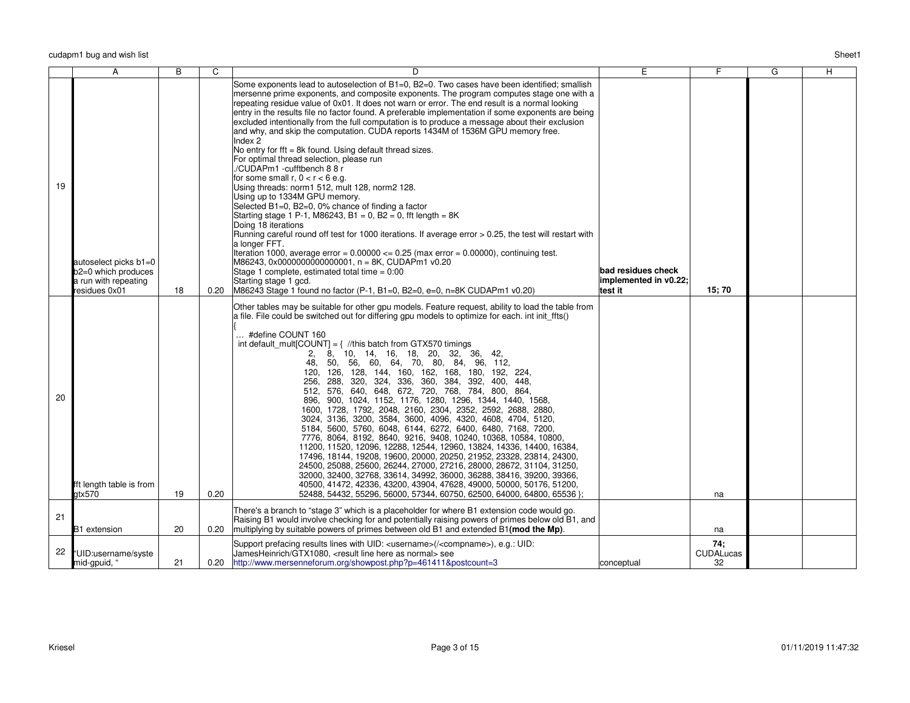|    | A                                                                                     | B  | C    | D                                                                                                                                                                                                                                                                                                                                                                                                                                                                                                                                                                                                                                                                                                                                                                                                                                                                                                                                                                                                                                                                                                                                                                                                                                                                                                                                                                                                                                                           | Ē                                                      | F.                            | $\overline{G}$ | H |
|----|---------------------------------------------------------------------------------------|----|------|-------------------------------------------------------------------------------------------------------------------------------------------------------------------------------------------------------------------------------------------------------------------------------------------------------------------------------------------------------------------------------------------------------------------------------------------------------------------------------------------------------------------------------------------------------------------------------------------------------------------------------------------------------------------------------------------------------------------------------------------------------------------------------------------------------------------------------------------------------------------------------------------------------------------------------------------------------------------------------------------------------------------------------------------------------------------------------------------------------------------------------------------------------------------------------------------------------------------------------------------------------------------------------------------------------------------------------------------------------------------------------------------------------------------------------------------------------------|--------------------------------------------------------|-------------------------------|----------------|---|
| 19 | autoselect picks b1=0<br>b2=0 which produces<br>a run with repeating<br>residues 0x01 | 18 | 0.20 | Some exponents lead to autoselection of B1=0, B2=0. Two cases have been identified; smallish<br>mersenne prime exponents, and composite exponents. The program computes stage one with a<br>repeating residue value of 0x01. It does not warn or error. The end result is a normal looking<br>entry in the results file no factor found. A preferable implementation if some exponents are being<br>excluded intentionally from the full computation is to produce a message about their exclusion<br>and why, and skip the computation. CUDA reports 1434M of 1536M GPU memory free.<br>Index 2<br>No entry for fft = 8k found. Using default thread sizes.<br>For optimal thread selection, please run<br>./CUDAPm1 -cufftbench 8 8 r<br>for some small $r, 0 < r < 6$ e.g.<br>Using threads: norm1 512, mult 128, norm2 128.<br>Using up to 1334M GPU memory.<br>Selected B1=0, B2=0, 0% chance of finding a factor<br>Starting stage 1 P-1, M86243, B1 = 0, B2 = 0, fft length = $8K$<br>Doing 18 iterations<br>Running careful round off test for 1000 iterations. If average error > 0.25, the test will restart with<br>a longer FFT.<br>Iteration 1000, average error = $0.00000 \le 0.25$ (max error = $0.00000$ ), continuing test.<br>M86243, 0x0000000000000001, n = 8K, CUDAPm1 v0.20<br>Stage 1 complete, estimated total time $= 0.00$<br>Starting stage 1 gcd.<br>M86243 Stage 1 found no factor (P-1, B1=0, B2=0, e=0, n=8K CUDAPm1 v0.20) | bad residues check<br>implemented in v0.22;<br>test it | 15;70                         |                |   |
| 20 | fft length table is from<br>atx570                                                    | 19 | 0.20 | Other tables may be suitable for other gpu models. Feature request, ability to load the table from<br>a file. File could be switched out for differing gpu models to optimize for each. int init_ffts()<br>#define COUNT 160<br>int default_mult[COUNT] = $\frac{1}{1}$ //this batch from GTX570 timings<br>8, 10, 14, 16, 18, 20, 32, 36,<br>2.<br>42.<br>50, 56, 60, 64, 70, 80, 84, 96, 112,<br>48.<br>120, 126, 128, 144, 160, 162, 168, 180, 192, 224,<br>256, 288, 320, 324, 336, 360, 384, 392, 400, 448,<br>512, 576, 640, 648, 672, 720, 768, 784, 800, 864,<br>896, 900, 1024, 1152, 1176, 1280, 1296, 1344, 1440, 1568,<br>1600, 1728, 1792, 2048, 2160, 2304, 2352, 2592, 2688, 2880,<br>3024, 3136, 3200, 3584, 3600, 4096, 4320, 4608, 4704, 5120,<br>5184, 5600, 5760, 6048, 6144, 6272, 6400, 6480, 7168, 7200,<br>7776, 8064, 8192, 8640, 9216, 9408, 10240, 10368, 10584, 10800,<br>11200, 11520, 12096, 12288, 12544, 12960, 13824, 14336, 14400, 16384,<br>17496, 18144, 19208, 19600, 20000, 20250, 21952, 23328, 23814, 24300,<br>24500, 25088, 25600, 26244, 27000, 27216, 28000, 28672, 31104, 31250,<br>32000, 32400, 32768, 33614, 34992, 36000, 36288, 38416, 39200, 39366,<br>40500, 41472, 42336, 43200, 43904, 47628, 49000, 50000, 50176, 51200,<br>52488, 54432, 55296, 56000, 57344, 60750, 62500, 64000, 64800, 65536 };                                                                                                  |                                                        | na                            |                |   |
| 21 | B1 extension                                                                          | 20 | 0.20 | There's a branch to "stage 3" which is a placeholder for where B1 extension code would go.<br>Raising B1 would involve checking for and potentially raising powers of primes below old B1, and<br>multiplying by suitable powers of primes between old B1 and extended B1(mod the Mp).                                                                                                                                                                                                                                                                                                                                                                                                                                                                                                                                                                                                                                                                                                                                                                                                                                                                                                                                                                                                                                                                                                                                                                      |                                                        | na                            |                |   |
| 22 | "UID:username/syste<br>mid-gpuid, "                                                   | 21 | 0.20 | Support prefacing results lines with UID: <username>(/<compname>), e.g.: UID:<br/>JamesHeinrich/GTX1080, <result as="" here="" line="" normal=""> see<br/>http://www.mersenneforum.org/showpost.php?p=461411&amp;postcount=3</result></compname></username>                                                                                                                                                                                                                                                                                                                                                                                                                                                                                                                                                                                                                                                                                                                                                                                                                                                                                                                                                                                                                                                                                                                                                                                                 | conceptual                                             | 74;<br><b>CUDALucas</b><br>32 |                |   |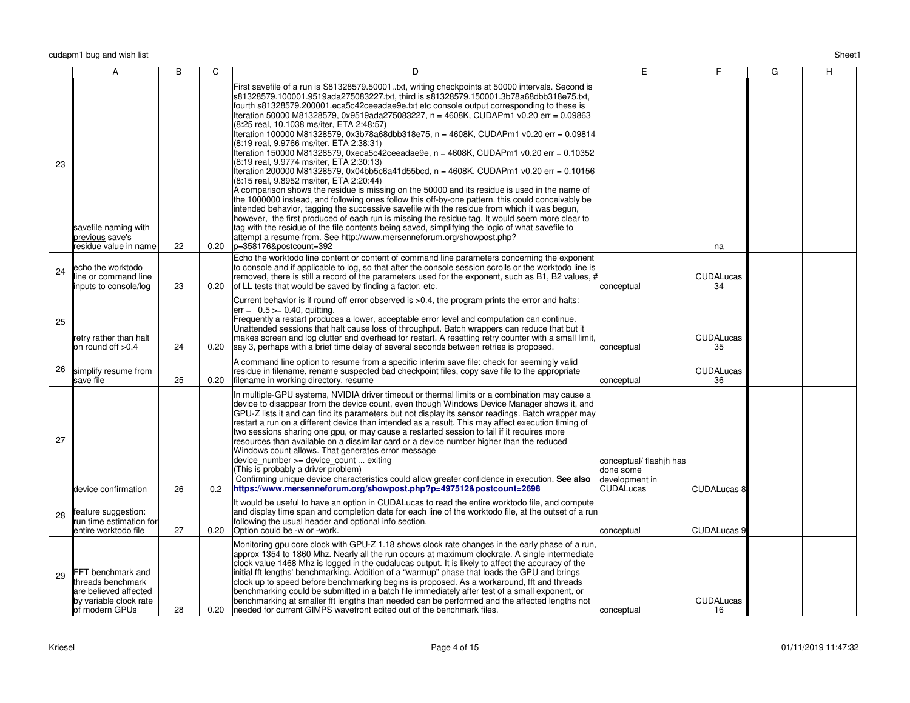|    | Α                                                                                                           | B  | C    | D                                                                                                                                                                                                                                                                                                                                                                                                                                                                                                                                                                                                                                                                                                                                                                                                                                                                                                                                                                                                                                                                                                                                                                                                                                                                                                                                                                                                                                                               | E                                                                           | F                      | G | н |
|----|-------------------------------------------------------------------------------------------------------------|----|------|-----------------------------------------------------------------------------------------------------------------------------------------------------------------------------------------------------------------------------------------------------------------------------------------------------------------------------------------------------------------------------------------------------------------------------------------------------------------------------------------------------------------------------------------------------------------------------------------------------------------------------------------------------------------------------------------------------------------------------------------------------------------------------------------------------------------------------------------------------------------------------------------------------------------------------------------------------------------------------------------------------------------------------------------------------------------------------------------------------------------------------------------------------------------------------------------------------------------------------------------------------------------------------------------------------------------------------------------------------------------------------------------------------------------------------------------------------------------|-----------------------------------------------------------------------------|------------------------|---|---|
| 23 | savefile naming with<br>previous save's<br>residue value in name                                            | 22 | 0.20 | First savefile of a run is S81328579.50001txt, writing checkpoints at 50000 intervals. Second is<br>s81328579.100001.9519ada275083227.txt, third is s81328579.150001.3b78a68dbb318e75.txt,<br>fourth s81328579.200001.eca5c42ceeadae9e.txt etc console output corresponding to these is<br>Iteration 50000 M81328579, 0x9519ada275083227, n = 4608K, CUDAPm1 v0.20 err = 0.09863<br>(8:25 real, 10.1038 ms/iter, ETA 2:48:57)<br>lteration 100000 M81328579, 0x3b78a68dbb318e75, n = 4608K, CUDAPm1 v0.20 err = 0.09814<br>(8:19 real, 9.9766 ms/iter, ETA 2:38:31)<br>Iteration 150000 M81328579, 0xeca5c42ceeadae9e, n = 4608K, CUDAPm1 v0.20 err = 0.10352<br>(8:19 real, 9.9774 ms/iter, ETA 2:30:13)<br>Iteration 200000 M81328579, 0x04bb5c6a41d55bcd, n = 4608K, CUDAPm1 v0.20 err = 0.10156<br>(8:15 real, 9.8952 ms/iter, ETA 2:20:44)<br>A comparison shows the residue is missing on the 50000 and its residue is used in the name of<br>the 1000000 instead, and following ones follow this off-by-one pattern. this could conceivably be<br>intended behavior, tagging the successive savefile with the residue from which it was begun,<br>however, the first produced of each run is missing the residue tag. It would seem more clear to<br>tag with the residue of the file contents being saved, simplifying the logic of what savefile to<br>attempt a resume from. See http://www.mersenneforum.org/showpost.php?<br>p=358176&postcount=392 |                                                                             | na                     |   |   |
| 24 | echo the worktodo<br>line or command line<br>inputs to console/log                                          | 23 | 0.20 | Echo the worktodo line content or content of command line parameters concerning the exponent<br>to console and if applicable to log, so that after the console session scrolls or the worktodo line is<br>removed, there is still a record of the parameters used for the exponent, such as B1, B2 values, #<br>of LL tests that would be saved by finding a factor, etc.                                                                                                                                                                                                                                                                                                                                                                                                                                                                                                                                                                                                                                                                                                                                                                                                                                                                                                                                                                                                                                                                                       | conceptual                                                                  | <b>CUDALucas</b><br>34 |   |   |
| 25 | retry rather than halt<br>on round off >0.4                                                                 | 24 | 0.20 | Current behavior is if round off error observed is >0.4, the program prints the error and halts:<br>$err = 0.5 >= 0.40$ , quitting.<br>Frequently a restart produces a lower, acceptable error level and computation can continue.<br>Unattended sessions that halt cause loss of throughput. Batch wrappers can reduce that but it<br>makes screen and log clutter and overhead for restart. A resetting retry counter with a small limit,<br>say 3, perhaps with a brief time delay of several seconds between retries is proposed.                                                                                                                                                                                                                                                                                                                                                                                                                                                                                                                                                                                                                                                                                                                                                                                                                                                                                                                           | conceptual                                                                  | <b>CUDALucas</b><br>35 |   |   |
| 26 | simplify resume from<br>save file                                                                           | 25 | 0.20 | A command line option to resume from a specific interim save file: check for seemingly valid<br>residue in filename, rename suspected bad checkpoint files, copy save file to the appropriate<br>filename in working directory, resume                                                                                                                                                                                                                                                                                                                                                                                                                                                                                                                                                                                                                                                                                                                                                                                                                                                                                                                                                                                                                                                                                                                                                                                                                          | conceptual                                                                  | <b>CUDALucas</b><br>36 |   |   |
| 27 | device confirmation                                                                                         | 26 | 0.2  | In multiple-GPU systems, NVIDIA driver timeout or thermal limits or a combination may cause a<br>device to disappear from the device count, even though Windows Device Manager shows it, and<br>GPU-Z lists it and can find its parameters but not display its sensor readings. Batch wrapper may<br>restart a run on a different device than intended as a result. This may affect execution timing of<br>two sessions sharing one gpu, or may cause a restarted session to fail if it requires more<br>resources than available on a dissimilar card or a device number higher than the reduced<br>Windows count allows. That generates error message<br>device number >= device count  exiting<br>(This is probably a driver problem)<br>Confirming unique device characteristics could allow greater confidence in execution. See also<br>https://www.mersenneforum.org/showpost.php?p=497512&postcount=2698                                                                                                                                                                                                                                                                                                                                                                                                                                                                                                                                                | conceptual/ flashih has<br>ldone some<br>development in<br><b>CUDALucas</b> | CUDALucas 8            |   |   |
| 28 | feature suggestion:<br>run time estimation for<br>entire worktodo file                                      | 27 | 0.20 | It would be useful to have an option in CUDALucas to read the entire worktodo file, and compute<br>and display time span and completion date for each line of the worktodo file, at the outset of a run<br>following the usual header and optional info section.<br>Option could be -w or -work.                                                                                                                                                                                                                                                                                                                                                                                                                                                                                                                                                                                                                                                                                                                                                                                                                                                                                                                                                                                                                                                                                                                                                                | conceptual                                                                  | <b>CUDALucas 9</b>     |   |   |
| 29 | FFT benchmark and<br>threads benchmark<br>are believed affected<br>by variable clock rate<br>of modern GPUs | 28 | 0.20 | Monitoring gpu core clock with GPU-Z 1.18 shows clock rate changes in the early phase of a run,<br>approx 1354 to 1860 Mhz. Nearly all the run occurs at maximum clockrate. A single intermediate<br>clock value 1468 Mhz is logged in the cudalucas output. It is likely to affect the accuracy of the<br>initial fft lengths' benchmarking. Addition of a "warmup" phase that loads the GPU and brings<br>clock up to speed before benchmarking begins is proposed. As a workaround, fft and threads<br>benchmarking could be submitted in a batch file immediately after test of a small exponent, or<br>benchmarking at smaller fft lengths than needed can be performed and the affected lengths not<br>needed for current GIMPS wavefront edited out of the benchmark files.                                                                                                                                                                                                                                                                                                                                                                                                                                                                                                                                                                                                                                                                              | conceptual                                                                  | <b>CUDALucas</b><br>16 |   |   |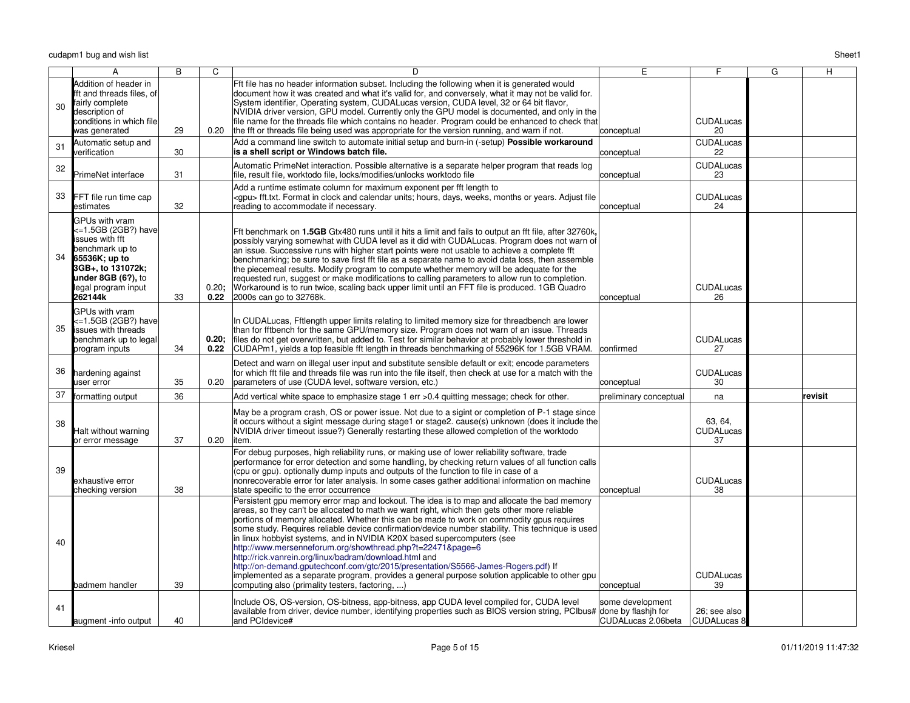|    | A                                                                                                                                                                           | B  | C             | D                                                                                                                                                                                                                                                                                                                                                                                                                                                                                                                                                                                                                                                                                                                                                                                                                                          | E                                      | F                           | G | н       |
|----|-----------------------------------------------------------------------------------------------------------------------------------------------------------------------------|----|---------------|--------------------------------------------------------------------------------------------------------------------------------------------------------------------------------------------------------------------------------------------------------------------------------------------------------------------------------------------------------------------------------------------------------------------------------------------------------------------------------------------------------------------------------------------------------------------------------------------------------------------------------------------------------------------------------------------------------------------------------------------------------------------------------------------------------------------------------------------|----------------------------------------|-----------------------------|---|---------|
| 30 | Addition of header in<br>fft and threads files, of<br>fairly complete<br>description of<br>conditions in which file<br>was generated                                        | 29 | 0.20          | Fft file has no header information subset. Including the following when it is generated would<br>document how it was created and what it's valid for, and conversely, what it may not be valid for.<br>System identifier, Operating system, CUDALucas version, CUDA level, 32 or 64 bit flavor,<br>NVIDIA driver version, GPU model. Currently only the GPU model is documented, and only in the<br>file name for the threads file which contains no header. Program could be enhanced to check that<br>the fft or threads file being used was appropriate for the version running, and warn if not.                                                                                                                                                                                                                                       | conceptual                             | <b>CUDALucas</b><br>20      |   |         |
| 31 | Automatic setup and<br>verification                                                                                                                                         | 30 |               | Add a command line switch to automate initial setup and burn-in (-setup) Possible workaround<br>is a shell script or Windows batch file.                                                                                                                                                                                                                                                                                                                                                                                                                                                                                                                                                                                                                                                                                                   | conceptual                             | <b>CUDALucas</b><br>22      |   |         |
| 32 | PrimeNet interface                                                                                                                                                          | 31 |               | Automatic PrimeNet interaction. Possible alternative is a separate helper program that reads log<br>file, result file, worktodo file, locks/modifies/unlocks worktodo file                                                                                                                                                                                                                                                                                                                                                                                                                                                                                                                                                                                                                                                                 | conceptual                             | <b>CUDALucas</b><br>23      |   |         |
| 33 | FFT file run time cap<br>estimates                                                                                                                                          | 32 |               | Add a runtime estimate column for maximum exponent per fft length to<br><gpu> fft.txt. Format in clock and calendar units; hours, days, weeks, months or years. Adjust file<br/>reading to accommodate if necessary.</gpu>                                                                                                                                                                                                                                                                                                                                                                                                                                                                                                                                                                                                                 | conceptual                             | <b>CUDALucas</b><br>24      |   |         |
| 34 | GPUs with vram<br><=1.5GB (2GB?) have<br>issues with fft<br>benchmark up to<br>65536K; up to<br>3GB+, to 131072k;<br>under $8GB(6?)$ , to<br>legal program input<br>262144k | 33 | 0.20;<br>0.22 | Fft benchmark on 1.5GB Gtx480 runs until it hits a limit and fails to output an fft file, after 32760k,<br>possibly varying somewhat with CUDA level as it did with CUDALucas. Program does not warn of<br>an issue. Successive runs with higher start points were not usable to achieve a complete fft<br>benchmarking; be sure to save first fft file as a separate name to avoid data loss, then assemble<br>the piecemeal results. Modify program to compute whether memory will be adequate for the<br>requested run, suggest or make modifications to calling parameters to allow run to completion.<br>Workaround is to run twice, scaling back upper limit until an FFT file is produced. 1GB Quadro<br>2000s can go to 32768k.                                                                                                    | conceptual                             | <b>CUDALucas</b><br>26      |   |         |
| 35 | GPUs with vram<br><=1.5GB (2GB?) have<br><b>i</b> ssues with threads<br>benchmark up to legal<br>program inputs                                                             | 34 | 0.20:<br>0.22 | In CUDALucas, Fftlength upper limits relating to limited memory size for threadbench are lower<br>than for fftbench for the same GPU/memory size. Program does not warn of an issue. Threads<br>files do not get overwritten, but added to. Test for similar behavior at probably lower threshold in<br>CUDAPm1, yields a top feasible fft length in threads benchmarking of 55296K for 1.5GB VRAM.                                                                                                                                                                                                                                                                                                                                                                                                                                        | confirmed                              | <b>CUDALucas</b><br>27      |   |         |
| 36 | hardening against<br>user error                                                                                                                                             | 35 | 0.20          | Detect and warn on illegal user input and substitute sensible default or exit; encode parameters<br>for which fft file and threads file was run into the file itself, then check at use for a match with the<br>parameters of use (CUDA level, software version, etc.)                                                                                                                                                                                                                                                                                                                                                                                                                                                                                                                                                                     | conceptual                             | <b>CUDALucas</b><br>30      |   |         |
| 37 | ormatting output                                                                                                                                                            | 36 |               | Add vertical white space to emphasize stage 1 err >0.4 quitting message; check for other.                                                                                                                                                                                                                                                                                                                                                                                                                                                                                                                                                                                                                                                                                                                                                  | preliminary conceptual                 | na                          |   | revisit |
| 38 | Halt without warning<br>or error message                                                                                                                                    | 37 | 0.20          | May be a program crash, OS or power issue. Not due to a sigint or completion of P-1 stage since<br>it occurs without a sigint message during stage1 or stage2, cause(s) unknown (does it include the<br>NVIDIA driver timeout issue?) Generally restarting these allowed completion of the worktodo<br>litem.                                                                                                                                                                                                                                                                                                                                                                                                                                                                                                                              |                                        | 63, 64,<br>CUDALucas<br>37  |   |         |
| 39 | exhaustive error<br>checking version                                                                                                                                        | 38 |               | For debug purposes, high reliability runs, or making use of lower reliability software, trade<br>performance for error detection and some handling, by checking return values of all function calls<br>(cpu or qpu), optionally dump inputs and outputs of the function to file in case of a<br>nonrecoverable error for later analysis. In some cases gather additional information on machine<br>state specific to the error occurrence                                                                                                                                                                                                                                                                                                                                                                                                  | conceptual                             | <b>CUDALucas</b><br>38      |   |         |
| 40 | badmem handler                                                                                                                                                              | 39 |               | Persistent gpu memory error map and lockout. The idea is to map and allocate the bad memory<br>areas, so they can't be allocated to math we want right, which then gets other more reliable<br>portions of memory allocated. Whether this can be made to work on commodity gpus requires<br>some study. Requires reliable device confirmation/device number stability. This technique is used<br>in linux hobbyist systems, and in NVIDIA K20X based supercomputers (see<br>http://www.mersenneforum.org/showthread.php?t=22471&page=6<br>http://rick.vanrein.org/linux/badram/download.html and<br>http://on-demand.gputechconf.com/gtc/2015/presentation/S5566-James-Rogers.pdf) If<br>implemented as a separate program, provides a general purpose solution applicable to other gpu<br>computing also (primality testers, factoring, ) | conceptual                             | <b>CUDALucas</b><br>39      |   |         |
| 41 | augment -info output                                                                                                                                                        | 40 |               | Include OS, OS-version, OS-bitness, app-bitness, app CUDA level compiled for, CUDA level<br>available from driver, device number, identifying properties such as BIOS version string, PCIbus# done by flashih for<br>and PCIdevice#                                                                                                                                                                                                                                                                                                                                                                                                                                                                                                                                                                                                        | some development<br>CUDALucas 2.06beta | 26: see also<br>CUDALucas 8 |   |         |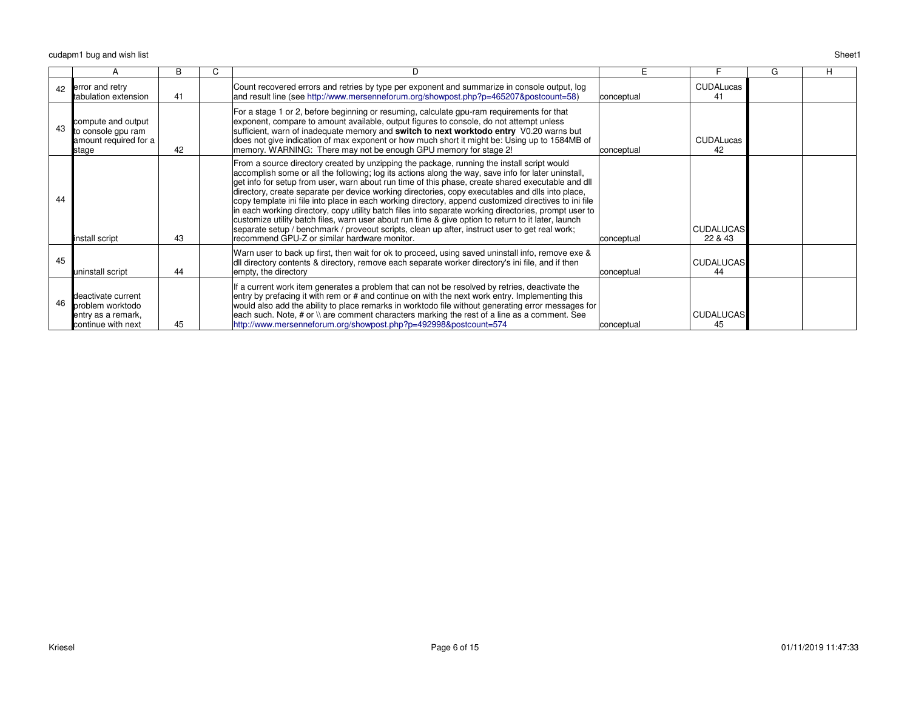cudapm1 bug and wish listt and the state of the state of the state of the state of the state of the state of the state of the Sheet 1

|    | A                                                                                  |    | U |                                                                                                                                                                                                                                                                                                                                                                                                                                                                                                                                                                                                                                                                                                                                                                                                                                                                                       |            |                             | G | н |
|----|------------------------------------------------------------------------------------|----|---|---------------------------------------------------------------------------------------------------------------------------------------------------------------------------------------------------------------------------------------------------------------------------------------------------------------------------------------------------------------------------------------------------------------------------------------------------------------------------------------------------------------------------------------------------------------------------------------------------------------------------------------------------------------------------------------------------------------------------------------------------------------------------------------------------------------------------------------------------------------------------------------|------------|-----------------------------|---|---|
| 42 | error and retry<br>tabulation extension                                            | 41 |   | Count recovered errors and retries by type per exponent and summarize in console output, log<br>and result line (see http://www.mersenneforum.org/showpost.php?p=465207&postcount=58)                                                                                                                                                                                                                                                                                                                                                                                                                                                                                                                                                                                                                                                                                                 | conceptual | <b>CUDALucas</b><br>41      |   |   |
| 43 | compute and output<br>to console gpu ram<br>amount required for a<br>stage         | 42 |   | For a stage 1 or 2, before beginning or resuming, calculate gpu-ram requirements for that<br>exponent, compare to amount available, output figures to console, do not attempt unless<br>sufficient, warn of inadequate memory and switch to next worktodo entry V0.20 warns but<br>does not give indication of max exponent or how much short it might be: Using up to 1584MB of<br>memory. WARNING: There may not be enough GPU memory for stage 2!                                                                                                                                                                                                                                                                                                                                                                                                                                  | conceptual | <b>CUDALucas</b><br>42      |   |   |
| 44 | install script                                                                     | 43 |   | From a source directory created by unzipping the package, running the install script would<br>accomplish some or all the following; log its actions along the way, save info for later uninstall,<br>get info for setup from user, warn about run time of this phase, create shared executable and dll<br>directory, create separate per device working directories, copy executables and dlls into place,<br>copy template ini file into place in each working directory, append customized directives to ini file<br>in each working directory, copy utility batch files into separate working directories, prompt user to<br>customize utility batch files, warn user about run time & give option to return to it later, launch<br>separate setup / benchmark / proveout scripts, clean up after, instruct user to get real work;<br>recommend GPU-Z or similar hardware monitor. | conceptual | <b>CUDALUCAS</b><br>22 & 43 |   |   |
| 45 | uninstall script                                                                   | 44 |   | Warn user to back up first, then wait for ok to proceed, using saved uninstall info, remove exe &<br>dll directory contents & directory, remove each separate worker directory's ini file, and if then<br>empty, the directory                                                                                                                                                                                                                                                                                                                                                                                                                                                                                                                                                                                                                                                        | conceptual | <b>CUDALUCAS</b><br>44      |   |   |
| 46 | deactivate current<br>problem worktodo<br>entry as a remark,<br>continue with next | 45 |   | If a current work item generates a problem that can not be resolved by retries, deactivate the<br>entry by prefacing it with rem or # and continue on with the next work entry. Implementing this<br>would also add the ability to place remarks in worktodo file without generating error messages for<br>each such. Note, # or $\setminus$ are comment characters marking the rest of a line as a comment. See<br>http://www.mersenneforum.org/showpost.php?p=492998&postcount=574                                                                                                                                                                                                                                                                                                                                                                                                  | conceptual | <b>CUDALUCAS</b><br>45      |   |   |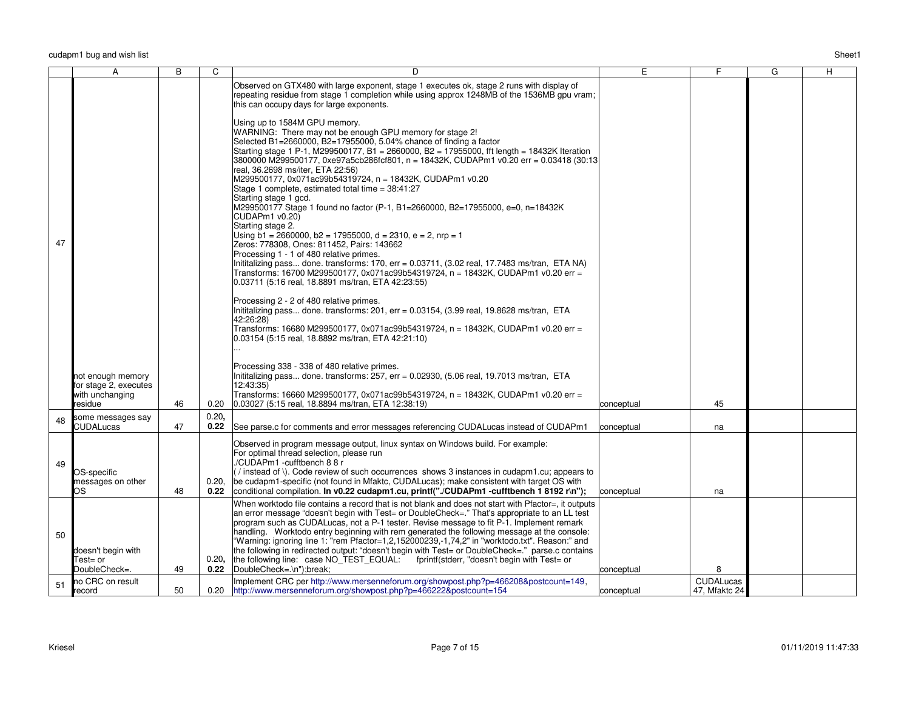| Sheet1 |
|--------|
|        |

|    | A                                                               | B  | C             | D                                                                                                                                                                                                                                                                                                                                                                                                                                                                                                        | E          | F.                                | G | Н. |
|----|-----------------------------------------------------------------|----|---------------|----------------------------------------------------------------------------------------------------------------------------------------------------------------------------------------------------------------------------------------------------------------------------------------------------------------------------------------------------------------------------------------------------------------------------------------------------------------------------------------------------------|------------|-----------------------------------|---|----|
|    |                                                                 |    |               | Observed on GTX480 with large exponent, stage 1 executes ok, stage 2 runs with display of<br>repeating residue from stage 1 completion while using approx 1248MB of the 1536MB gpu vram;<br>this can occupy days for large exponents.<br>Using up to 1584M GPU memory.<br>WARNING: There may not be enough GPU memory for stage 2!<br>Selected B1=2660000, B2=17955000, 5.04% chance of finding a factor<br>Starting stage 1 P-1, M299500177, B1 = 2660000, B2 = 17955000, fft length = 18432K Iteration |            |                                   |   |    |
|    |                                                                 |    |               | 3800000 M299500177, 0xe97a5cb286fcf801, n = 18432K, CUDAPm1 v0.20 err = 0.03418 (30:13)<br>real, 36.2698 ms/iter, ETA 22:56)<br>M299500177, 0x071ac99b54319724, n = 18432K, CUDAPm1 v0.20<br>Stage 1 complete, estimated total time = 38:41:27<br>Starting stage 1 gcd.<br>M299500177 Stage 1 found no factor (P-1, B1=2660000, B2=17955000, e=0, n=18432K<br>CUDAPm1 v0.20)<br>Starting stage 2.<br>Using $b1 = 2660000$ , $b2 = 17955000$ , $d = 2310$ , $e = 2$ , nrp = 1                             |            |                                   |   |    |
| 47 |                                                                 |    |               | Zeros: 778308, Ones: 811452, Pairs: 143662<br>Processing 1 - 1 of 480 relative primes.<br>Inititalizing pass done. transforms: 170, err = $0.03711$ , (3.02 real, 17.7483 ms/tran, ETA NA)<br>Transforms: 16700 M299500177, 0x071ac99b54319724, n = 18432K, CUDAPm1 v0.20 err =<br>0.03711 (5:16 real, 18.8891 ms/tran, ETA 42:23:55)                                                                                                                                                                    |            |                                   |   |    |
|    |                                                                 |    |               | Processing 2 - 2 of 480 relative primes.<br>Inititalizing pass done. transforms: $201$ , err = 0.03154, (3.99 real, 19.8628 ms/tran, ETA<br>42:26:28)<br>Transforms: 16680 M299500177, 0x071ac99b54319724, n = 18432K, CUDAPm1 v0.20 err =<br>0.03154 (5:15 real, 18.8892 ms/tran, ETA 42:21:10)                                                                                                                                                                                                         |            |                                   |   |    |
|    | hot enough memory                                               |    |               | Processing 338 - 338 of 480 relative primes.<br>Inititalizing pass done. transforms: $257$ , err = 0.02930, $(5.06$ real, 19.7013 ms/tran, ETA                                                                                                                                                                                                                                                                                                                                                           |            |                                   |   |    |
|    | for stage 2, executes<br>with unchanging<br>esidue <sup>.</sup> | 46 | 0.20          | 12:43:35)<br>Transforms: 16660 M299500177, 0x071ac99b54319724, n = 18432K, CUDAPm1 v0.20 err =<br>0.03027 (5:15 real, 18.8894 ms/tran, ETA 12:38:19)                                                                                                                                                                                                                                                                                                                                                     | conceptual | 45                                |   |    |
| 48 | some messages say<br>CUDALucas                                  | 47 | 0.20,<br>0.22 | See parse.c for comments and error messages referencing CUDALucas instead of CUDAPm1                                                                                                                                                                                                                                                                                                                                                                                                                     | conceptual | na                                |   |    |
| 49 | OS-specific<br>messages on other<br>OS.                         | 48 | 0.20,<br>0.22 | Observed in program message output, linux syntax on Windows build. For example:<br>For optimal thread selection, please run<br>/CUDAPm1 -cufftbench 8 8 r<br>(/instead of \). Code review of such occurrences shows 3 instances in cudapm1.cu; appears to<br>be cudapm1-specific (not found in Mfaktc, CUDALucas); make consistent with target OS with<br>conditional compilation. In v0.22 cudapm1.cu, printf("./CUDAPm1 -cufftbench 1 8192 r\n");                                                      | conceptual | na                                |   |    |
|    |                                                                 |    |               | When worktodo file contains a record that is not blank and does not start with Pfactor=, it outputs                                                                                                                                                                                                                                                                                                                                                                                                      |            |                                   |   |    |
| 50 | doesn't begin with                                              |    |               | an error message "doesn't begin with Test= or DoubleCheck=" That's appropriate to an LL test<br>program such as CUDALucas, not a P-1 tester. Revise message to fit P-1. Implement remark<br>handling. Worktodo entry beginning with rem generated the following message at the console:<br>"Warning: ignoring line 1: "rem Pfactor=1,2,152000239,-1,74,2" in "worktodo.txt". Reason:" and<br>the following in redirected output: "doesn't begin with Test= or DoubleCheck=." parse.c contains            |            |                                   |   |    |
|    | Test⊨ or<br>DoubleCheck=.                                       | 49 | 0.22          | 0.20, the following line: case NO TEST EQUAL: fprintf(stderr, "doesn't begin with Test= or<br>DoubleCheck=.\n");break;                                                                                                                                                                                                                                                                                                                                                                                   | conceptual | 8                                 |   |    |
| 51 | no CRC on result<br>record                                      | 50 | 0.20          | Implement CRC per http://www.mersenneforum.org/showpost.php?p=466208&postcount=149,<br>http://www.mersenneforum.org/showpost.php?p=466222&postcount=154                                                                                                                                                                                                                                                                                                                                                  | conceptual | <b>CUDALucas</b><br>47, Mfaktc 24 |   |    |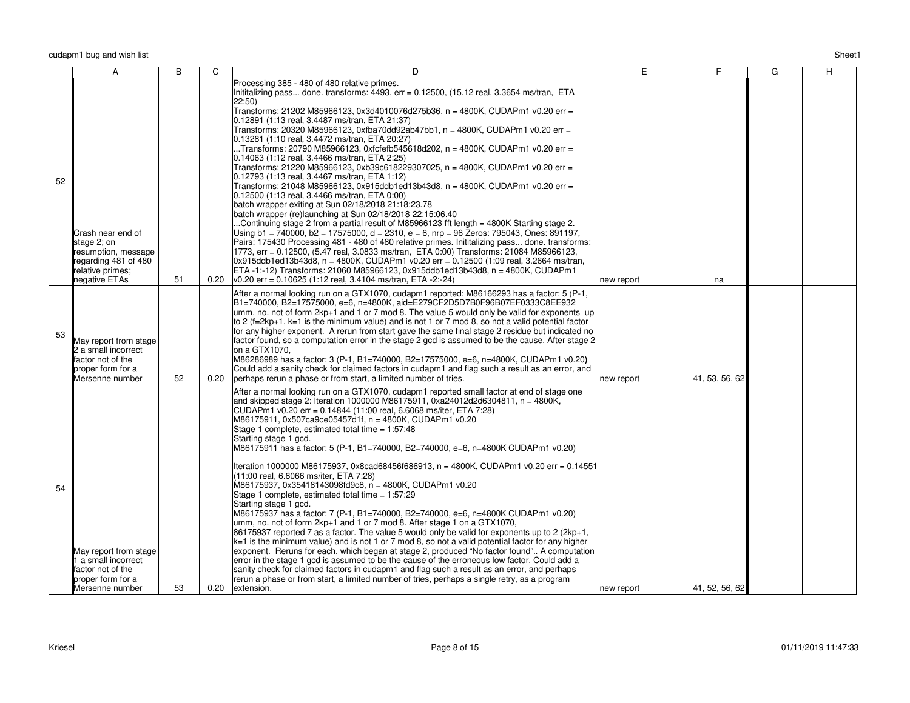|    | A                                                                                                                    | B  | C    | D                                                                                                                                                                                                                                                                                                                                                                                                                                                                                                                                                                                                                                                                                                                                                                                                                                                                                                                                                                                                                                                                                                                                                                                                                                                                                                                                                                                                                                                                                                                                                                                                                                                     | E.         | F.             | G | Н. |
|----|----------------------------------------------------------------------------------------------------------------------|----|------|-------------------------------------------------------------------------------------------------------------------------------------------------------------------------------------------------------------------------------------------------------------------------------------------------------------------------------------------------------------------------------------------------------------------------------------------------------------------------------------------------------------------------------------------------------------------------------------------------------------------------------------------------------------------------------------------------------------------------------------------------------------------------------------------------------------------------------------------------------------------------------------------------------------------------------------------------------------------------------------------------------------------------------------------------------------------------------------------------------------------------------------------------------------------------------------------------------------------------------------------------------------------------------------------------------------------------------------------------------------------------------------------------------------------------------------------------------------------------------------------------------------------------------------------------------------------------------------------------------------------------------------------------------|------------|----------------|---|----|
| 52 | Crash near end of<br>stage 2: on<br>resumption, message<br>regarding 481 of 480<br>relative primes;<br>negative ETAs | 51 | 0.20 | Processing 385 - 480 of 480 relative primes.<br>Inititalizing pass done. transforms: 4493, err = 0.12500, (15.12 real, 3.3654 ms/tran, ETA<br>$ 22:50\rangle$<br>Transforms: 21202 M85966123, 0x3d4010076d275b36, n = 4800K, CUDAPm1 v0.20 err =<br>0.12891 (1:13 real, 3.4487 ms/tran, ETA 21:37)<br>Transforms: 20320 M85966123, 0xfba70dd92ab47bb1, n = 4800K, CUDAPm1 v0.20 err =<br>0.13281 (1:10 real, 3.4472 ms/tran, ETA 20:27)<br>Transforms: 20790 M85966123, 0xfcfefb545618d202, n = 4800K, CUDAPm1 v0.20 err =<br>0.14063 (1:12 real, 3.4466 ms/tran, ETA 2:25)<br>Transforms: 21220 M85966123, 0xb39c618229307025, n = 4800K, CUDAPm1 v0.20 err =<br>$ 0.12793(1:13$ real, 3.4467 ms/tran, ETA 1:12)<br> Transforms: 21048 M85966123, 0x915ddb1ed13b43d8, n = 4800K, CUDAPm1 v0.20 err =<br>$ 0.12500(1:13 \text{ real}, 3.4466 \text{ ms/tran}, \text{ETA} 0:00) $<br>batch wrapper exiting at Sun 02/18/2018 21:18:23.78<br>batch wrapper (re)launching at Sun 02/18/2018 22:15:06.40<br>Continuing stage 2 from a partial result of M85966123 fft length = 4800K Starting stage 2.<br>Using b1 = 740000, b2 = 17575000, d = 2310, e = 6, nrp = 96 Zeros: 795043, Ones: 891197,<br>Pairs: 175430 Processing 481 - 480 of 480 relative primes. Inititalizing pass done. transforms:<br>1773, err = 0.12500, (5.47 real, 3.0833 ms/tran, ETA 0:00) Transforms: 21084 M85966123,<br>$0x915ddb1ed13b43d8$ , n = 4800K, CUDAPm1 v0.20 err = 0.12500 (1:09 real, 3.2664 ms/tran,<br>ETA-1:-12) Transforms: 21060 M85966123, 0x915ddb1ed13b43d8, n = 4800K, CUDAPm1<br>$ v0.20 \text{ err} = 0.10625$ (1:12 real, 3.4104 ms/tran, ETA -2:-24) | new report | na             |   |    |
| 53 | May report from stage<br>2 a small incorrect<br>factor not of the<br>proper form for a<br>Mersenne number            | 52 | 0.20 | After a normal looking run on a GTX1070, cudapm1 reported: M86166293 has a factor: 5 (P-1,<br>B1=740000, B2=17575000, e=6, n=4800K, aid=E279CF2D5D7B0F96B07EF0333C8EE932<br>$\mu$ mm, no. not of form 2kp+1 and 1 or 7 mod 8. The value 5 would only be valid for exponents up<br>$\vert$ to 2 (f=2kp+1, k=1 is the minimum value) and is not 1 or 7 mod 8, so not a valid potential factor<br>for any higher exponent. A rerun from start gave the same final stage 2 residue but indicated no<br>factor found, so a computation error in the stage 2 gcd is assumed to be the cause. After stage 2<br>on a GTX1070,<br>M86286989 has a factor: 3 (P-1, B1=740000, B2=17575000, e=6, n=4800K, CUDAPm1 v0.20)<br>Could add a sanity check for claimed factors in cudapm1 and flag such a result as an error, and<br>perhaps rerun a phase or from start, a limited number of tries.                                                                                                                                                                                                                                                                                                                                                                                                                                                                                                                                                                                                                                                                                                                                                                   | new report | 41, 53, 56, 62 |   |    |
| 54 | May report from stage<br>I a small incorrect<br>factor not of the<br>proper form for a<br>Mersenne number            | 53 | 0.20 | After a normal looking run on a GTX1070, cudapm1 reported small factor at end of stage one<br>and skipped stage 2: Iteration 1000000 M86175911, 0xa24012d2d6304811, $n = 4800K$ ,<br>CUDAPm1 v0.20 err = 0.14844 (11:00 real, 6.6068 ms/iter, ETA 7:28)<br>M86175911, 0x507ca9ce05457d1f, n = 4800K, CUDAPm1 v0.20<br>Stage 1 complete, estimated total time = 1:57:48<br>Starting stage 1 gcd.<br>M86175911 has a factor: 5 (P-1, B1=740000, B2=740000, e=6, n=4800K CUDAPm1 v0.20)<br>Iteration 1000000 M86175937, 0x8cad68456f686913, n = 4800K, CUDAPm1 v0.20 err = 0.14551<br>(11:00 real, 6.6066 ms/iter, ETA 7:28)<br>M86175937, 0x35418143098fd9c8, n = 4800K, CUDAPm1 v0.20<br>Stage 1 complete, estimated total time = 1:57:29<br>Starting stage 1 gcd.<br>M86175937 has a factor: 7 (P-1, B1=740000, B2=740000, e=6, n=4800K CUDAPm1 v0.20)<br>$\mu$ mm, no. not of form 2kp+1 and 1 or 7 mod 8. After stage 1 on a GTX1070,<br>86175937 reported 7 as a factor. The value 5 would only be valid for exponents up to 2 (2kp+1,<br>$ k=1$ is the minimum value) and is not 1 or 7 mod 8, so not a valid potential factor for any higher<br>exponent. Reruns for each, which began at stage 2, produced "No factor found" A computation<br>error in the stage 1 gcd is assumed to be the cause of the erroneous low factor. Could add a<br>sanity check for claimed factors in cudapm1 and flag such a result as an error, and perhaps<br>rerun a phase or from start, a limited number of tries, perhaps a single retry, as a program<br>extension.                                                                                         | new report | 41, 52, 56, 62 |   |    |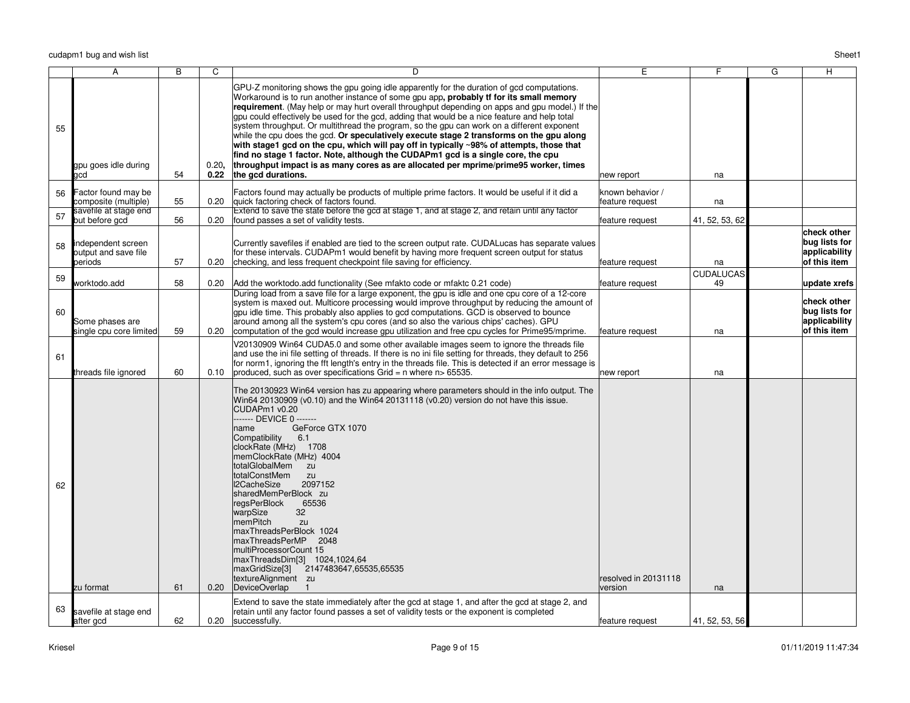|    | А                                                     | $\overline{B}$ | $\overline{\mathrm{c}}$ | $\overline{D}$                                                                                                                                                                                                                                                                                                                                                                                                                                                                                                                                                                                                                                                                                                                                                                                                                                                                         | Έ                                   | F                      | $\overline{G}$ | $\overline{H}$                                                |
|----|-------------------------------------------------------|----------------|-------------------------|----------------------------------------------------------------------------------------------------------------------------------------------------------------------------------------------------------------------------------------------------------------------------------------------------------------------------------------------------------------------------------------------------------------------------------------------------------------------------------------------------------------------------------------------------------------------------------------------------------------------------------------------------------------------------------------------------------------------------------------------------------------------------------------------------------------------------------------------------------------------------------------|-------------------------------------|------------------------|----------------|---------------------------------------------------------------|
| 55 | gpu goes idle during<br>acd                           | 54             | 0.20,<br>0.22           | GPU-Z monitoring shows the gpu going idle apparently for the duration of gcd computations.<br>Workaround is to run another instance of some gpu app, probably tf for its small memory<br>requirement. (May help or may hurt overall throughput depending on apps and gpu model.) If the<br>gpu could effectively be used for the gcd, adding that would be a nice feature and help total<br>system throughput. Or multithread the program, so the gpu can work on a different exponent<br>while the cpu does the gcd. Or speculatively execute stage 2 transforms on the gpu along<br>with stage1 gcd on the cpu, which will pay off in typically $\sim$ 98% of attempts, those that<br>find no stage 1 factor. Note, although the CUDAPm1 gcd is a single core, the cpu<br>throughput impact is as many cores as are allocated per mprime/prime95 worker, times<br>the gcd durations. | new report                          | na                     |                |                                                               |
| 56 | Factor found may be<br>composite (multiple)           | 55             | 0.20                    | Factors found may actually be products of multiple prime factors. It would be useful if it did a<br>quick factoring check of factors found.                                                                                                                                                                                                                                                                                                                                                                                                                                                                                                                                                                                                                                                                                                                                            | known behavior /<br>feature request | na                     |                |                                                               |
| 57 | savefile at stage end<br>but before gcd               | 56             | 0.20                    | Extend to save the state before the gcd at stage 1, and at stage 2, and retain until any factor<br>found passes a set of validity tests.                                                                                                                                                                                                                                                                                                                                                                                                                                                                                                                                                                                                                                                                                                                                               | feature request                     | 41, 52, 53, 62         |                |                                                               |
| 58 | independent screen<br>output and save file<br>periods | 57             | 0.20                    | Currently savefiles if enabled are tied to the screen output rate. CUDALucas has separate values<br>for these intervals. CUDAPm1 would benefit by having more frequent screen output for status<br>checking, and less frequent checkpoint file saving for efficiency.                                                                                                                                                                                                                                                                                                                                                                                                                                                                                                                                                                                                                  | feature request                     | na                     |                | check other<br>bug lists for<br>applicability<br>of this item |
| 59 | worktodo.add                                          | 58             | 0.20                    | Add the worktodo add functionality (See mfakto code or mfakto 0.21 code)                                                                                                                                                                                                                                                                                                                                                                                                                                                                                                                                                                                                                                                                                                                                                                                                               | feature request                     | <b>CUDALUCAS</b><br>49 |                | update xrefs                                                  |
| 60 | Some phases are<br>single cpu core limited            | 59             | 0.20                    | During load from a save file for a large exponent, the gpu is idle and one cpu core of a 12-core<br>system is maxed out. Multicore processing would improve throughput by reducing the amount of<br>gpu idle time. This probably also applies to gcd computations. GCD is observed to bounce<br>around among all the system's cpu cores (and so also the various chips' caches). GPU<br>computation of the gcd would increase gpu utilization and free cpu cycles for Prime95/mprime.                                                                                                                                                                                                                                                                                                                                                                                                  | feature request                     | na                     |                | check other<br>bug lists for<br>applicability<br>of this item |
| 61 | threads file ignored                                  | 60             | 0.10                    | V20130909 Win64 CUDA5.0 and some other available images seem to ignore the threads file<br>and use the ini file setting of threads. If there is no ini file setting for threads, they default to 256<br>for norm1, ignoring the fft length's entry in the threads file. This is detected if an error message is<br>produced, such as over specifications Grid = $n$ where $n > 65535$ .                                                                                                                                                                                                                                                                                                                                                                                                                                                                                                | new report                          | na                     |                |                                                               |
| 62 | zu format                                             | 61             | 0.20                    | The 20130923 Win64 version has zu appearing where parameters should in the info output. The<br>Win64 20130909 (v0.10) and the Win64 20131118 (v0.20) version do not have this issue.<br>CUDAPm1 v0.20<br>------- DEVICE 0 -------<br>GeForce GTX 1070<br>name<br>Compatibility<br>6.1<br>clockRate (MHz) 1708<br>memClockRate (MHz) 4004<br>totalGlobalMem<br>zu<br>totalConstMem<br>zu<br>I2CacheSize<br>2097152<br>sharedMemPerBlock zu<br>regsPerBlock<br>65536<br>32<br>warpSize<br>memPitch<br>zu<br>maxThreadsPerBlock 1024<br>maxThreadsPerMP 2048<br>multiProcessorCount 15<br>maxThreadsDim[3] 1024,1024,64<br>maxGridSize[3] 2147483647,65535,65535<br>textureAlignment zu<br>DeviceOverlap                                                                                                                                                                                  | resolved in 20131118<br>version     | na                     |                |                                                               |
| 63 | savefile at stage end<br>after gcd                    | 62             | 0.20                    | Extend to save the state immediately after the gcd at stage 1, and after the gcd at stage 2, and<br>retain until any factor found passes a set of validity tests or the exponent is completed<br>successfully.                                                                                                                                                                                                                                                                                                                                                                                                                                                                                                                                                                                                                                                                         | feature request                     | 41, 52, 53, 56         |                |                                                               |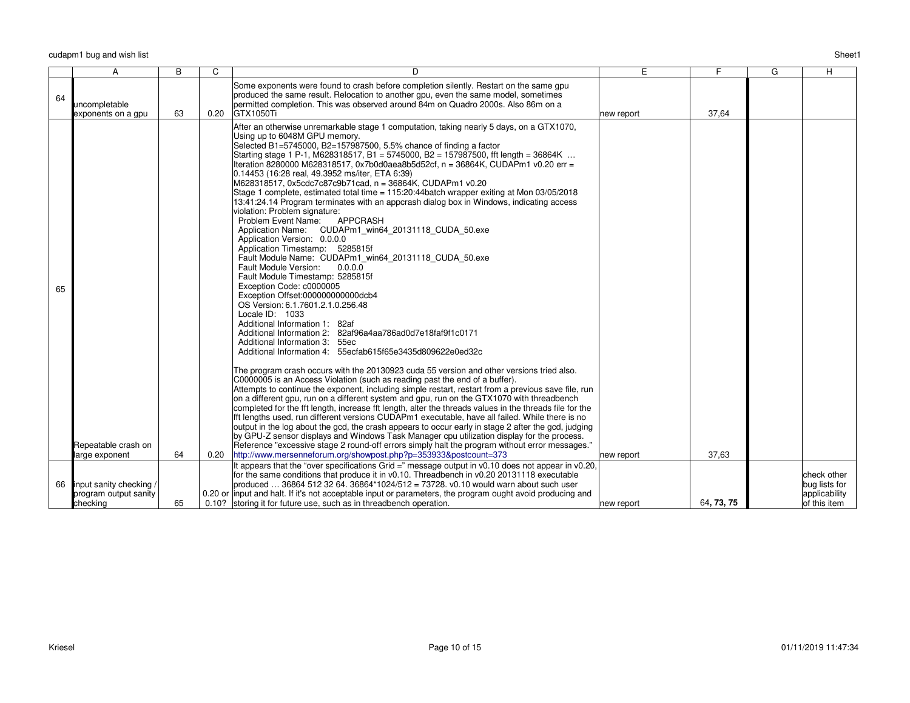|    | A                                                            | B  | C    | D.                                                                                                                                                                                                                                                                                                                                                                                                                                                                                                                                                                                                                                                                                                                                                                                                                                                                                                                                                                                                                                                                                                                                                                                                                                                                                                                                                                                                                                                                                                                                                                                                                                                                                                                                                                                                                                                                                                                                                                                                                                                                                                                                                                                                                                                                                                                             | E          | F.         | G | H                                                             |
|----|--------------------------------------------------------------|----|------|--------------------------------------------------------------------------------------------------------------------------------------------------------------------------------------------------------------------------------------------------------------------------------------------------------------------------------------------------------------------------------------------------------------------------------------------------------------------------------------------------------------------------------------------------------------------------------------------------------------------------------------------------------------------------------------------------------------------------------------------------------------------------------------------------------------------------------------------------------------------------------------------------------------------------------------------------------------------------------------------------------------------------------------------------------------------------------------------------------------------------------------------------------------------------------------------------------------------------------------------------------------------------------------------------------------------------------------------------------------------------------------------------------------------------------------------------------------------------------------------------------------------------------------------------------------------------------------------------------------------------------------------------------------------------------------------------------------------------------------------------------------------------------------------------------------------------------------------------------------------------------------------------------------------------------------------------------------------------------------------------------------------------------------------------------------------------------------------------------------------------------------------------------------------------------------------------------------------------------------------------------------------------------------------------------------------------------|------------|------------|---|---------------------------------------------------------------|
| 64 | uncompletable<br>exponents on a gpu                          | 63 | 0.20 | Some exponents were found to crash before completion silently. Restart on the same qpu<br>produced the same result. Relocation to another gpu, even the same model, sometimes<br>permitted completion. This was observed around 84m on Quadro 2000s. Also 86m on a<br><b>GTX1050Ti</b>                                                                                                                                                                                                                                                                                                                                                                                                                                                                                                                                                                                                                                                                                                                                                                                                                                                                                                                                                                                                                                                                                                                                                                                                                                                                                                                                                                                                                                                                                                                                                                                                                                                                                                                                                                                                                                                                                                                                                                                                                                         | new report | 37.64      |   |                                                               |
| 65 | Repeatable crash on<br>large exponent                        | 64 | 0.20 | After an otherwise unremarkable stage 1 computation, taking nearly 5 days, on a GTX1070,<br>Using up to 6048M GPU memory.<br>Selected B1=5745000, B2=157987500, 5.5% chance of finding a factor<br>Starting stage 1 P-1, M628318517, B1 = 5745000, B2 = 157987500, fft length = 36864K<br>Iteration 8280000 M628318517, 0x7b0d0aea8b5d52cf, n = 36864K, CUDAPm1 v0.20 err =<br>0.14453 (16:28 real, 49.3952 ms/iter, ETA 6:39)<br>M628318517, 0x5cdc7c87c9b71cad, n = 36864K, CUDAPm1 v0.20<br>Stage 1 complete, estimated total time = 115:20:44batch wrapper exiting at Mon 03/05/2018<br>13:41:24.14 Program terminates with an appcrash dialog box in Windows, indicating access<br>violation: Problem signature:<br>Problem Event Name:<br><b>APPCRASH</b><br>Application Name: CUDAPm1 win64 20131118 CUDA 50.exe<br>Application Version: 0.0.0.0<br>Application Timestamp: 5285815f<br>Fault Module Name: CUDAPm1_win64_20131118_CUDA_50.exe<br>0.0.0.0<br>Fault Module Version:<br>Fault Module Timestamp: 5285815f<br>Exception Code: c0000005<br>Exception Offset:000000000000dcb4<br>OS Version: 6.1.7601.2.1.0.256.48<br>Locale ID: 1033<br>Additional Information 1: 82af<br>Additional Information 2: 82af96a4aa786ad0d7e18faf9f1c0171<br>Additional Information 3: 55ec<br>Additional Information 4: 55ecfab615f65e3435d809622e0ed32c<br>The program crash occurs with the 20130923 cuda 55 version and other versions tried also.<br>C0000005 is an Access Violation (such as reading past the end of a buffer).<br>Attempts to continue the exponent, including simple restart, restart from a previous save file, run<br>on a different gpu, run on a different system and gpu, run on the GTX1070 with threadbench<br>completed for the fft length, increase fft length, alter the threads values in the threads file for the<br>fft lengths used, run different versions CUDAPm1 executable, have all failed. While there is no<br>output in the log about the gcd, the crash appears to occur early in stage 2 after the gcd, judging<br>by GPU-Z sensor displays and Windows Task Manager cpu utilization display for the process.<br>Reference "excessive stage 2 round-off errors simply halt the program without error messages."<br>http://www.mersenneforum.org/showpost.php?p=353933&postcount=373 | new report | 37.63      |   |                                                               |
| 66 | input sanity checking /<br>program output sanity<br>checking | 65 |      | It appears that the "over specifications Grid =" message output in $v0.10$ does not appear in $v0.20$ ,<br>for the same conditions that produce it in v0.10. Threadbench in v0.20 20131118 executable<br>produced  36864 512 32 64. 36864*1024/512 = 73728. v0.10 would warn about such user<br>0.20 or input and halt. If it's not acceptable input or parameters, the program ought avoid producing and<br>0.10? storing it for future use, such as in threadbench operation.                                                                                                                                                                                                                                                                                                                                                                                                                                                                                                                                                                                                                                                                                                                                                                                                                                                                                                                                                                                                                                                                                                                                                                                                                                                                                                                                                                                                                                                                                                                                                                                                                                                                                                                                                                                                                                                | new report | 64, 73, 75 |   | check other<br>bug lists for<br>applicability<br>of this item |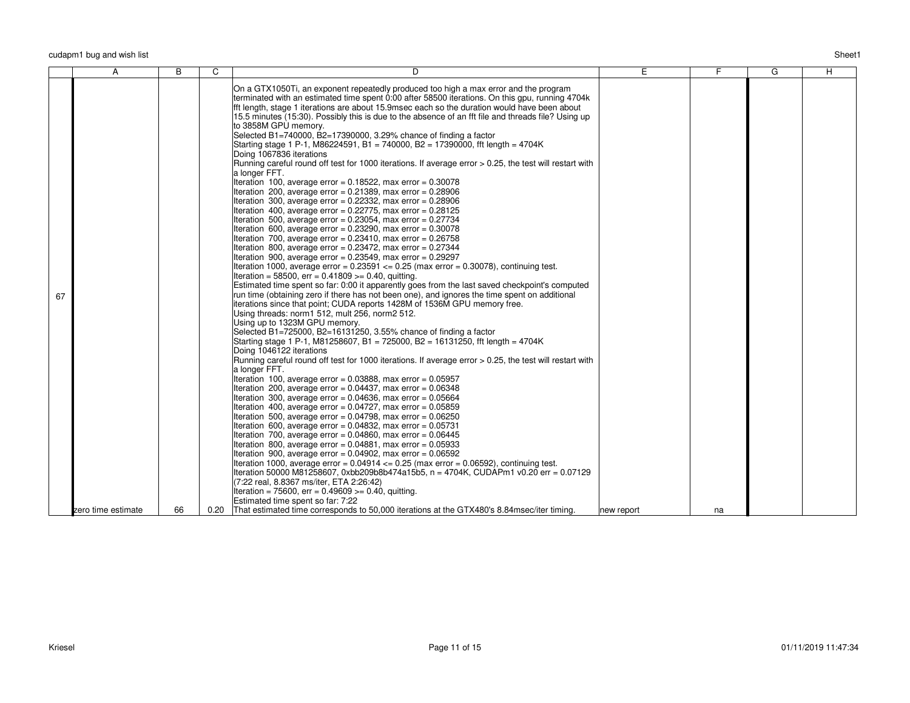| On a GTX1050Ti, an exponent repeatedly produced too high a max error and the program<br>terminated with an estimated time spent 0:00 after 58500 iterations. On this gpu, running 4704k<br>fft length, stage 1 iterations are about 15.9msec each so the duration would have been about<br>15.5 minutes (15:30). Possibly this is due to the absence of an fft file and threads file? Using up<br>to 3858M GPU memorv.<br>Selected B1=740000, B2=17390000, 3.29% chance of finding a factor<br>Starting stage 1 P-1, M86224591, B1 = 740000, B2 = 17390000, fft length = 4704K<br>Doing 1067836 iterations<br>Running careful round off test for 1000 iterations. If average error > 0.25, the test will restart with<br>a longer FFT.<br>Iteration 100, average error = $0.18522$ , max error = $0.30078$<br>Iteration 200, average error = $0.21389$ , max error = $0.28906$<br>Iteration 300, average error = $0.22332$ , max error = $0.28906$<br>Iteration 400, average error = $0.22775$ , max error = $0.28125$<br>Iteration 500, average error = $0.23054$ , max error = $0.27734$<br>Iteration 600, average error = $0.23290$ , max error = $0.30078$<br>Iteration 700, average error = $0.23410$ , max error = $0.26758$<br>Iteration 800, average error = $0.23472$ , max error = $0.27344$<br>Iteration 900, average error = $0.23549$ , max error = $0.29297$<br>Iteration 1000, average error = $0.23591 \le 0.25$ (max error = 0.30078), continuing test.<br>Iteration = 58500, err = $0.41809$ >= 0.40, quitting.<br>Estimated time spent so far: 0:00 it apparently goes from the last saved checkpoint's computed<br>run time (obtaining zero if there has not been one), and ignores the time spent on additional<br>67<br>iterations since that point; CUDA reports 1428M of 1536M GPU memory free.<br>Using threads: norm1 512, mult 256, norm2 512.<br>Using up to 1323M GPU memory.<br>Selected B1=725000, B2=16131250, 3.55% chance of finding a factor<br>Starting stage 1 P-1, M81258607, B1 = 725000, B2 = 16131250, fft length = 4704K<br>Doing 1046122 iterations<br>Running careful round off test for 1000 iterations. If average error > 0.25, the test will restart with<br>a longer FFT.<br>Iteration 100, average error = $0.03888$ , max error = $0.05957$<br>Iteration 200, average error = $0.04437$ , max error = $0.06348$<br>Iteration 300, average error = $0.04636$ , max error = $0.05664$<br>Iteration 400, average error = $0.04727$ , max error = $0.05859$ |
|------------------------------------------------------------------------------------------------------------------------------------------------------------------------------------------------------------------------------------------------------------------------------------------------------------------------------------------------------------------------------------------------------------------------------------------------------------------------------------------------------------------------------------------------------------------------------------------------------------------------------------------------------------------------------------------------------------------------------------------------------------------------------------------------------------------------------------------------------------------------------------------------------------------------------------------------------------------------------------------------------------------------------------------------------------------------------------------------------------------------------------------------------------------------------------------------------------------------------------------------------------------------------------------------------------------------------------------------------------------------------------------------------------------------------------------------------------------------------------------------------------------------------------------------------------------------------------------------------------------------------------------------------------------------------------------------------------------------------------------------------------------------------------------------------------------------------------------------------------------------------------------------------------------------------------------------------------------------------------------------------------------------------------------------------------------------------------------------------------------------------------------------------------------------------------------------------------------------------------------------------------------------------------------------------------------------------------------------------------------------------------------------------------------------------------------------------------------------------------------------------------|
| Iteration 500, average error = $0.04798$ , max error = $0.06250$<br>Iteration 600, average error = $0.04832$ , max error = $0.05731$<br>Iteration 700, average error = $0.04860$ , max error = $0.06445$<br>Iteration 800, average error = $0.04881$ , max error = $0.05933$<br>Iteration 900, average error = $0.04902$ , max error = $0.06592$<br>Iteration 1000, average error = $0.04914 \leq 0.25$ (max error = $0.06592$ ), continuing test.<br>Iteration 50000 M81258607, 0xbb209b8b474a15b5, n = 4704K, CUDAPm1 v0.20 err = 0.07129<br>(7:22 real, 8.8367 ms/iter, ETA 2:26:42)<br>Iteration = 75600, err = $0.49609$ >= 0.40, quitting.                                                                                                                                                                                                                                                                                                                                                                                                                                                                                                                                                                                                                                                                                                                                                                                                                                                                                                                                                                                                                                                                                                                                                                                                                                                                                                                                                                                                                                                                                                                                                                                                                                                                                                                                                                                                                                                           |
| Estimated time spent so far: 7:22<br>66<br>That estimated time corresponds to 50,000 iterations at the GTX480's 8.84msec/iter timing.<br>zero time estimate<br>0.20<br>new report<br>na                                                                                                                                                                                                                                                                                                                                                                                                                                                                                                                                                                                                                                                                                                                                                                                                                                                                                                                                                                                                                                                                                                                                                                                                                                                                                                                                                                                                                                                                                                                                                                                                                                                                                                                                                                                                                                                                                                                                                                                                                                                                                                                                                                                                                                                                                                                    |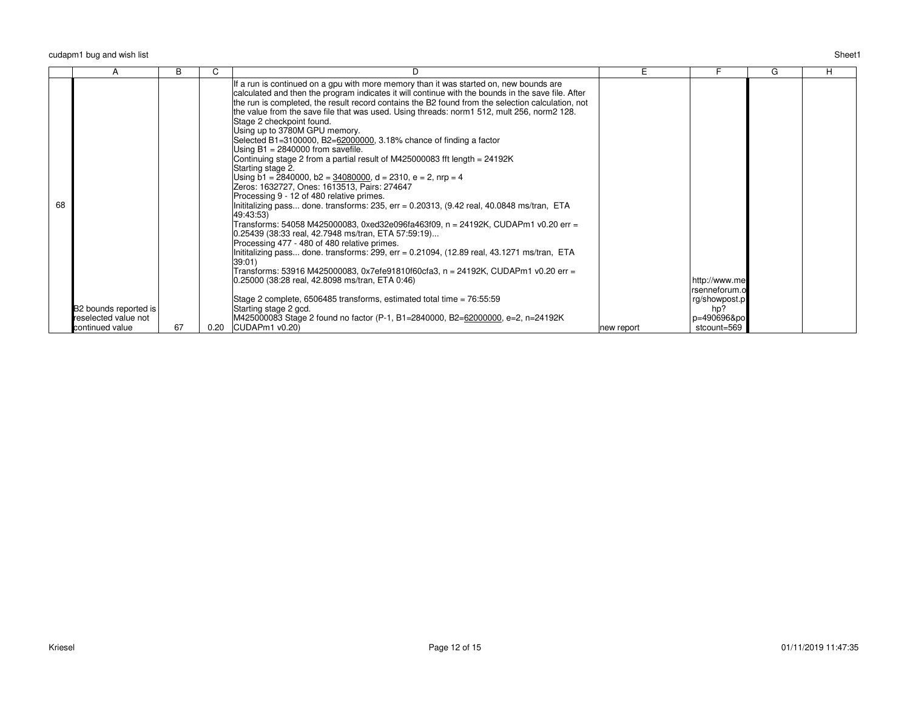|    |                       | B  | U    |                                                                                                                                                                                                                                                                                                                                                                                                                                                                                                                                                                                                                                                                                                                                                                                                                                                                                                                                                                                                                                                                                                                                                                                                                                                                                                                                                                                                                                                                                                                  | E.         |                                                 | G | H |
|----|-----------------------|----|------|------------------------------------------------------------------------------------------------------------------------------------------------------------------------------------------------------------------------------------------------------------------------------------------------------------------------------------------------------------------------------------------------------------------------------------------------------------------------------------------------------------------------------------------------------------------------------------------------------------------------------------------------------------------------------------------------------------------------------------------------------------------------------------------------------------------------------------------------------------------------------------------------------------------------------------------------------------------------------------------------------------------------------------------------------------------------------------------------------------------------------------------------------------------------------------------------------------------------------------------------------------------------------------------------------------------------------------------------------------------------------------------------------------------------------------------------------------------------------------------------------------------|------------|-------------------------------------------------|---|---|
| 68 |                       |    |      | If a run is continued on a gpu with more memory than it was started on, new bounds are<br>calculated and then the program indicates it will continue with the bounds in the save file. After<br>the run is completed, the result record contains the B2 found from the selection calculation, not<br>the value from the save file that was used. Using threads: norm1 512, mult 256, norm2 128.<br>Stage 2 checkpoint found.<br>Using up to 3780M GPU memory.<br>Selected B1=3100000, B2=62000000, 3.18% chance of finding a factor<br>Using $B1 = 2840000$ from savefile.<br>Continuing stage 2 from a partial result of M425000083 fft length = 24192K<br>Starting stage 2.<br>Using b1 = 2840000, b2 = $34080000$ , d = 2310, e = 2, nrp = 4<br>Zeros: 1632727, Ones: 1613513, Pairs: 274647<br>Processing 9 - 12 of 480 relative primes.<br>Inititalizing pass done. transforms: 235, err = 0.20313, (9.42 real, 40.0848 ms/tran, ETA<br>49:43:53)<br>Transforms: 54058 M425000083, 0xed32e096fa463f09, n = 24192K, CUDAPm1 v0.20 err =<br>0.25439 (38:33 real, 42.7948 ms/tran, ETA 57:59:19)<br>Processing 477 - 480 of 480 relative primes.<br>Inititalizing pass done. transforms: 299, err = 0.21094, $(12.89 \text{ real}, 43.1271 \text{ ms}/\text{tran}, \text{ ETA})$<br>39:01<br>Transforms: 53916 M425000083, 0x7efe91810f60cfa3, n = 24192K, CUDAPm1 v0.20 err =<br>0.25000 (38:28 real, 42.8098 ms/tran, ETA 0:46)<br>Stage 2 complete, $6506485$ transforms, estimated total time = $76:55:59$ |            | http://www.me<br>rsenneforum.o<br>rg/showpost.p |   |   |
|    | B2 bounds reported is |    |      | Starting stage 2 gcd.                                                                                                                                                                                                                                                                                                                                                                                                                                                                                                                                                                                                                                                                                                                                                                                                                                                                                                                                                                                                                                                                                                                                                                                                                                                                                                                                                                                                                                                                                            |            | hp?                                             |   |   |
|    | reselected value not  |    |      | M425000083 Stage 2 found no factor (P-1, B1=2840000, B2=62000000, e=2, n=24192K                                                                                                                                                                                                                                                                                                                                                                                                                                                                                                                                                                                                                                                                                                                                                                                                                                                                                                                                                                                                                                                                                                                                                                                                                                                                                                                                                                                                                                  |            | p=490696&po                                     |   |   |
|    | continued value       | 67 | 0.20 | CUDAPm1 v0.20)                                                                                                                                                                                                                                                                                                                                                                                                                                                                                                                                                                                                                                                                                                                                                                                                                                                                                                                                                                                                                                                                                                                                                                                                                                                                                                                                                                                                                                                                                                   | new report | stcount=569                                     |   |   |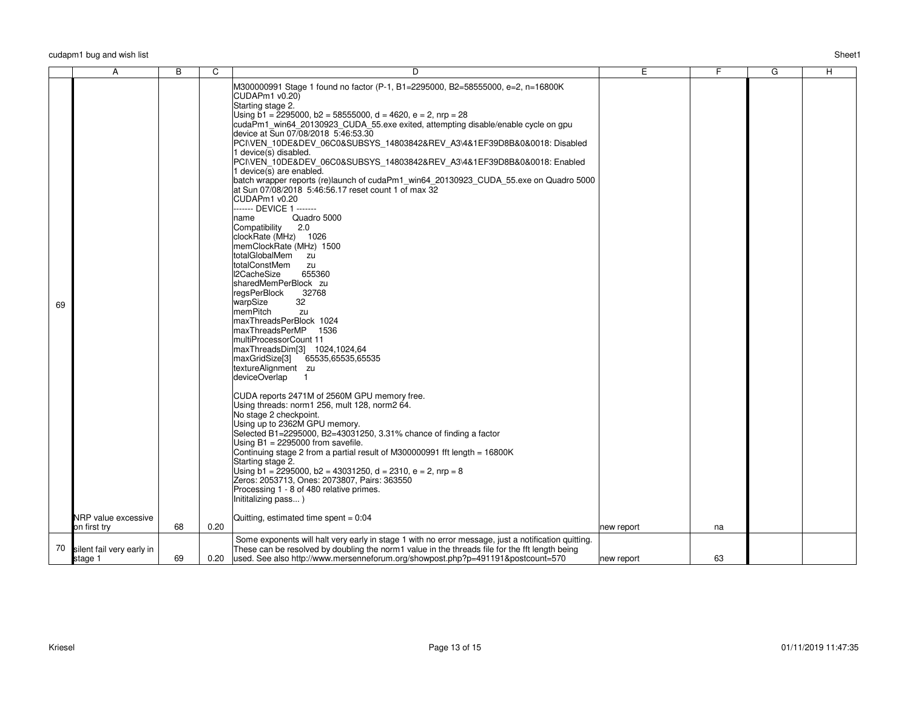| Sheet1 |
|--------|
|        |

|    | A                                    | $\overline{B}$ | C    | D                                                                                                                                                                                                                                                                                                                                                                                                                                                                                                                                                                                                                                                                                                                                                                                                                                                                                                                                                                                                                                                                                                                                                                                                                                                                                                                                                                                                                                                                                                                                                                                                                                                                                                                                                                         | Ε          | $\overline{F}$ | $\overline{G}$ | H |
|----|--------------------------------------|----------------|------|---------------------------------------------------------------------------------------------------------------------------------------------------------------------------------------------------------------------------------------------------------------------------------------------------------------------------------------------------------------------------------------------------------------------------------------------------------------------------------------------------------------------------------------------------------------------------------------------------------------------------------------------------------------------------------------------------------------------------------------------------------------------------------------------------------------------------------------------------------------------------------------------------------------------------------------------------------------------------------------------------------------------------------------------------------------------------------------------------------------------------------------------------------------------------------------------------------------------------------------------------------------------------------------------------------------------------------------------------------------------------------------------------------------------------------------------------------------------------------------------------------------------------------------------------------------------------------------------------------------------------------------------------------------------------------------------------------------------------------------------------------------------------|------------|----------------|----------------|---|
| 69 |                                      |                |      | M300000991 Stage 1 found no factor (P-1, B1=2295000, B2=58555000, e=2, n=16800K<br>CUDAPm1 v0.20)<br>Starting stage 2.<br>Using $\bar{b}$ 1 = 2295000, b2 = 58555000, d = 4620, e = 2, nrp = 28<br>cudaPm1 win64 20130923 CUDA 55.exe exited, attempting disable/enable cycle on gpu<br>device at Sun 07/08/2018 5:46:53.30<br>PCI\VEN_10DE&DEV_06C0&SUBSYS_14803842&REV_A3\4&1EF39D8B&0&0018: Disabled<br>1 device(s) disabled.<br>PCI\VEN_10DE&DEV_06C0&SUBSYS_14803842&REV_A3\4&1EF39D8B&0&0018: Enabled<br>1 device(s) are enabled.<br>batch wrapper reports (re)launch of cudaPm1_win64_20130923_CUDA_55.exe on Quadro 5000<br>$\vert$ at Sun 07/08/2018 5:46:56.17 reset count 1 of max 32<br>CUDAPm1 v0.20<br>------- DEVICE 1 -------<br>Quadro 5000<br>name<br>Compatibility<br>2.0<br>clockRate (MHz) 1026<br>memClockRate (MHz) 1500<br>totalGlobalMem zu<br>totalConstMem<br>zu<br>I2CacheSize<br>655360<br>sharedMemPerBlock zu<br>regsPerBlock<br>32768<br>32<br>warpSize<br>memPitch<br>zu<br>maxThreadsPerBlock 1024<br>maxThreadsPerMP 1536<br>multiProcessorCount 11<br>maxThreadsDim[3] 1024,1024,64<br> maxGridSize[3] 65535,65535,65535<br>textureAlignment zu<br>deviceOverlap<br>$\overline{1}$<br>CUDA reports 2471M of 2560M GPU memory free.<br>Using threads: norm1 256, mult 128, norm2 64.<br>No stage 2 checkpoint.<br>Using up to 2362M GPU memory.<br>Selected B1=2295000, B2=43031250, 3.31% chance of finding a factor<br>Using $B1 = 2295000$ from savefile.<br>Continuing stage 2 from a partial result of M300000991 fft length = 16800K<br>Starting stage 2.<br>Using $b1 = 2295000$ , $b2 = 43031250$ , $d = 2310$ , $e = 2$ , nrp = 8<br>Zeros: 2053713, Ones: 2073807, Pairs: 363550<br>Processing 1 - 8 of 480 relative primes. |            |                |                |   |
|    | NRP value excessive                  |                |      | Inititalizing pass)<br>Quitting, estimated time spent = 0:04                                                                                                                                                                                                                                                                                                                                                                                                                                                                                                                                                                                                                                                                                                                                                                                                                                                                                                                                                                                                                                                                                                                                                                                                                                                                                                                                                                                                                                                                                                                                                                                                                                                                                                              |            |                |                |   |
|    | on first try                         | 68             | 0.20 |                                                                                                                                                                                                                                                                                                                                                                                                                                                                                                                                                                                                                                                                                                                                                                                                                                                                                                                                                                                                                                                                                                                                                                                                                                                                                                                                                                                                                                                                                                                                                                                                                                                                                                                                                                           | new report | na             |                |   |
| 70 | silent fail very early in<br>stage 1 | 69             | 0.20 | Some exponents will halt very early in stage 1 with no error message, just a notification quitting.<br>These can be resolved by doubling the norm1 value in the threads file for the fft length being<br>used. See also http://www.mersenneforum.org/showpost.php?p=491191&postcount=570                                                                                                                                                                                                                                                                                                                                                                                                                                                                                                                                                                                                                                                                                                                                                                                                                                                                                                                                                                                                                                                                                                                                                                                                                                                                                                                                                                                                                                                                                  | new report | 63             |                |   |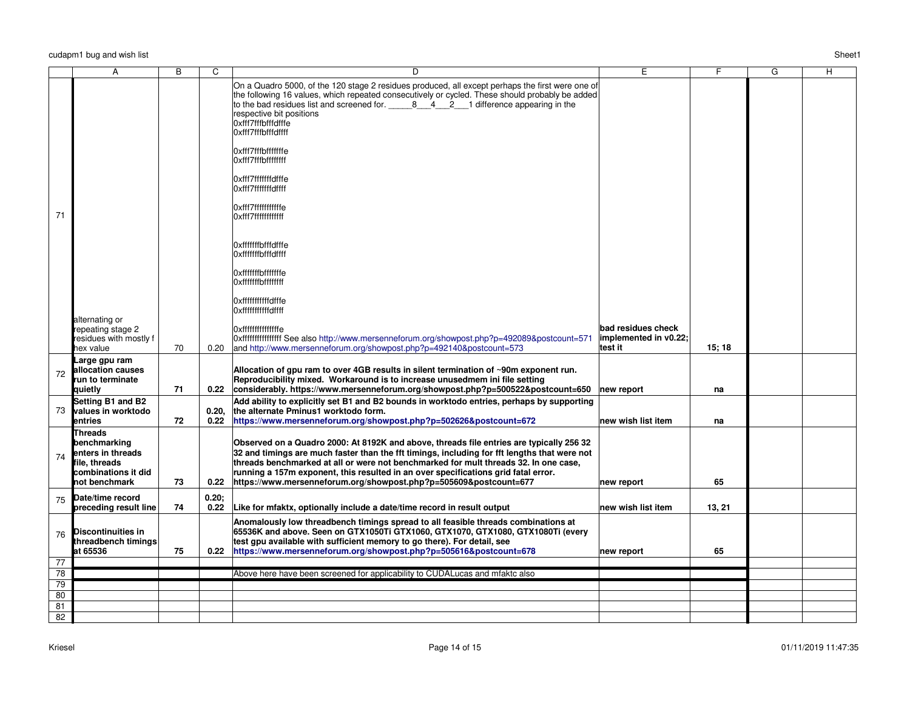|                 | А                                                                                                            | $\overline{B}$ | C             | $\overline{D}$                                                                                                                                                                                                                                                                                                                                                                                                                              | E                                | F.     | $\overline{\mathsf{G}}$ | H |
|-----------------|--------------------------------------------------------------------------------------------------------------|----------------|---------------|---------------------------------------------------------------------------------------------------------------------------------------------------------------------------------------------------------------------------------------------------------------------------------------------------------------------------------------------------------------------------------------------------------------------------------------------|----------------------------------|--------|-------------------------|---|
|                 |                                                                                                              |                |               | On a Quadro 5000, of the 120 stage 2 residues produced, all except perhaps the first were one of<br>the following 16 values, which repeated consecutively or cycled. These should probably be added<br>to the bad residues list and screened for. $\begin{array}{cccc} 8 & 4 & 2 & 1 \end{array}$ difference appearing in the<br>respective bit positions<br>Oxfff7fffbfffdfffe<br>Oxfff7fffbfffdffff                                       |                                  |        |                         |   |
|                 |                                                                                                              |                |               | Oxfff7fffbfffffffe<br>Oxfff7fffbffffffff<br>Oxfff7fffffffdfffe<br>Oxfff7fffffffdffff                                                                                                                                                                                                                                                                                                                                                        |                                  |        |                         |   |
| 71              |                                                                                                              |                |               | Oxfff7ffffffffffffe<br>Oxfff7fffffffffffff                                                                                                                                                                                                                                                                                                                                                                                                  |                                  |        |                         |   |
|                 |                                                                                                              |                |               | Oxfffffffbfffdfffe<br>Oxfffffffbfffdffff                                                                                                                                                                                                                                                                                                                                                                                                    |                                  |        |                         |   |
|                 |                                                                                                              |                |               | Oxfffffffbfffffffe<br><b>Oxfffffffbffffffff</b><br> Oxfffffffffffdfffe                                                                                                                                                                                                                                                                                                                                                                      |                                  |        |                         |   |
|                 |                                                                                                              |                |               | Oxfffffffffffdffff                                                                                                                                                                                                                                                                                                                                                                                                                          |                                  |        |                         |   |
|                 | alternating or<br>repeating stage 2                                                                          |                |               | Oxfffffffffffffffffe                                                                                                                                                                                                                                                                                                                                                                                                                        | bad residues check               |        |                         |   |
|                 | residues with mostly f<br>hex value                                                                          | 70             | 0.20          | 0xfffffffffffffffffff See also http://www.mersenneforum.org/showpost.php?p=492089&postcount=571<br>and http://www.mersenneforum.org/showpost.php?p=492140&postcount=573                                                                                                                                                                                                                                                                     | implemented in v0.22;<br>test it | 15;18  |                         |   |
| 72              | Large gpu ram<br>allocation causes<br>run to terminate                                                       |                |               | Allocation of gpu ram to over 4GB results in silent termination of ~90m exponent run.<br>Reproducibility mixed. Workaround is to increase unusedmem ini file setting                                                                                                                                                                                                                                                                        |                                  |        |                         |   |
|                 | quietly                                                                                                      | 71             | 0.22          | considerably. https://www.mersenneforum.org/showpost.php?p=500522&postcount=650                                                                                                                                                                                                                                                                                                                                                             | new report                       | na     |                         |   |
| 73              | Setting B1 and B2<br><b>values in worktodo</b><br>entries                                                    | 72             | 0.20.<br>0.22 | Add ability to explicitly set B1 and B2 bounds in worktodo entries, perhaps by supporting<br>the alternate Pminus1 worktodo form.<br>https://www.mersenneforum.org/showpost.php?p=502626&postcount=672                                                                                                                                                                                                                                      | new wish list item               | na     |                         |   |
| 74              | <b>Threads</b><br>benchmarking<br>enters in threads<br>file, threads<br>combinations it did<br>not benchmark | 73             | 0.22          | Observed on a Quadro 2000: At 8192K and above, threads file entries are typically 256 32<br>32 and timings are much faster than the fft timings, including for fft lengths that were not<br>threads benchmarked at all or were not benchmarked for mult threads 32. In one case,<br>running a 157m exponent, this resulted in an over specifications grid fatal error.<br>https://www.mersenneforum.org/showpost.php?p=505609&postcount=677 | new report                       | 65     |                         |   |
| 75              | Date/time record<br>preceding result line                                                                    | 74             | 0.20:<br>0.22 | Like for mfaktx, optionally include a date/time record in result output                                                                                                                                                                                                                                                                                                                                                                     | new wish list item               | 13, 21 |                         |   |
| 76              | Discontinuities in<br>threadbench timings<br>at 65536                                                        | 75             | 0.22          | Anomalously low threadbench timings spread to all feasible threads combinations at<br>65536K and above. Seen on GTX1050Ti GTX1060, GTX1070, GTX1080, GTX1080Ti (every<br>test gpu available with sufficient memory to go there). For detail, see<br>https://www.mersenneforum.org/showpost.php?p=505616&postcount=678                                                                                                                       | new report                       | 65     |                         |   |
| 77<br>78        |                                                                                                              |                |               | Above here have been screened for applicability to CUDALucas and mfaktc also                                                                                                                                                                                                                                                                                                                                                                |                                  |        |                         |   |
| 79              |                                                                                                              |                |               |                                                                                                                                                                                                                                                                                                                                                                                                                                             |                                  |        |                         |   |
| $\overline{80}$ |                                                                                                              |                |               |                                                                                                                                                                                                                                                                                                                                                                                                                                             |                                  |        |                         |   |
| 81              |                                                                                                              |                |               |                                                                                                                                                                                                                                                                                                                                                                                                                                             |                                  |        |                         |   |
| $\overline{82}$ |                                                                                                              |                |               |                                                                                                                                                                                                                                                                                                                                                                                                                                             |                                  |        |                         |   |